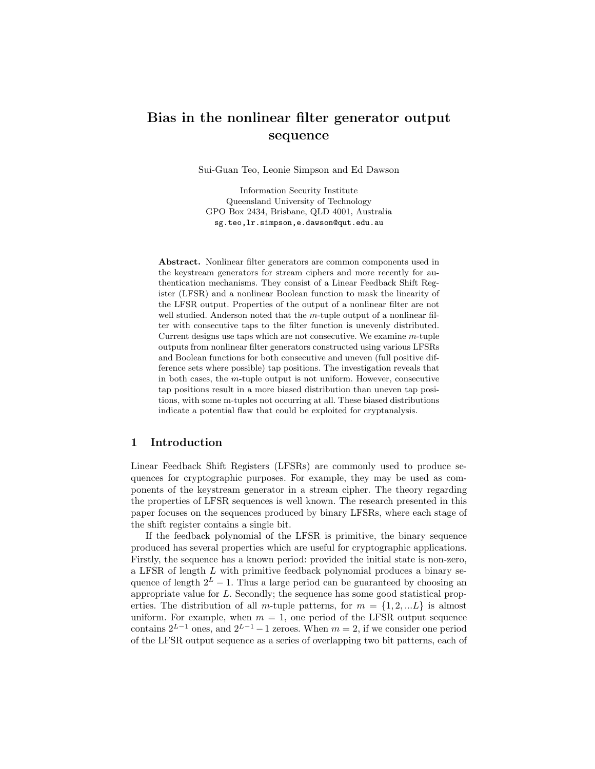# Bias in the nonlinear filter generator output sequence

Sui-Guan Teo, Leonie Simpson and Ed Dawson

Information Security Institute Queensland University of Technology GPO Box 2434, Brisbane, QLD 4001, Australia sg.teo,lr.simpson,e.dawson@qut.edu.au

Abstract. Nonlinear filter generators are common components used in the keystream generators for stream ciphers and more recently for authentication mechanisms. They consist of a Linear Feedback Shift Register (LFSR) and a nonlinear Boolean function to mask the linearity of the LFSR output. Properties of the output of a nonlinear filter are not well studied. Anderson noted that the m-tuple output of a nonlinear filter with consecutive taps to the filter function is unevenly distributed. Current designs use taps which are not consecutive. We examine  $m$ -tuple outputs from nonlinear filter generators constructed using various LFSRs and Boolean functions for both consecutive and uneven (full positive difference sets where possible) tap positions. The investigation reveals that in both cases, the  $m$ -tuple output is not uniform. However, consecutive tap positions result in a more biased distribution than uneven tap positions, with some m-tuples not occurring at all. These biased distributions indicate a potential flaw that could be exploited for cryptanalysis.

## 1 Introduction

Linear Feedback Shift Registers (LFSRs) are commonly used to produce sequences for cryptographic purposes. For example, they may be used as components of the keystream generator in a stream cipher. The theory regarding the properties of LFSR sequences is well known. The research presented in this paper focuses on the sequences produced by binary LFSRs, where each stage of the shift register contains a single bit.

If the feedback polynomial of the LFSR is primitive, the binary sequence produced has several properties which are useful for cryptographic applications. Firstly, the sequence has a known period: provided the initial state is non-zero, a LFSR of length L with primitive feedback polynomial produces a binary sequence of length  $2^L - 1$ . Thus a large period can be guaranteed by choosing an appropriate value for L. Secondly; the sequence has some good statistical properties. The distribution of all m-tuple patterns, for  $m = \{1, 2, ...L\}$  is almost uniform. For example, when  $m = 1$ , one period of the LFSR output sequence contains  $2^{L-1}$  ones, and  $2^{L-1}-1$  zeroes. When  $m=2$ , if we consider one period of the LFSR output sequence as a series of overlapping two bit patterns, each of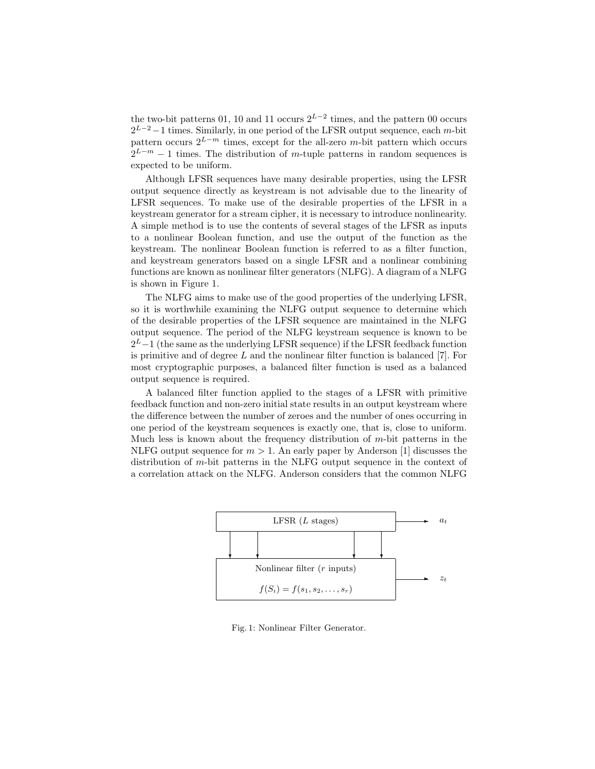the two-bit patterns 01, 10 and 11 occurs  $2^{L-2}$  times, and the pattern 00 occurs  $2^{L-2}-1$  times. Similarly, in one period of the LFSR output sequence, each m-bit pattern occurs  $2^{L-m}$  times, except for the all-zero m-bit pattern which occurs  $2^{L-m} - 1$  times. The distribution of m-tuple patterns in random sequences is expected to be uniform.

Although LFSR sequences have many desirable properties, using the LFSR output sequence directly as keystream is not advisable due to the linearity of LFSR sequences. To make use of the desirable properties of the LFSR in a keystream generator for a stream cipher, it is necessary to introduce nonlinearity. A simple method is to use the contents of several stages of the LFSR as inputs to a nonlinear Boolean function, and use the output of the function as the keystream. The nonlinear Boolean function is referred to as a filter function, and keystream generators based on a single LFSR and a nonlinear combining functions are known as nonlinear filter generators (NLFG). A diagram of a NLFG is shown in Figure 1.

The NLFG aims to make use of the good properties of the underlying LFSR, so it is worthwhile examining the NLFG output sequence to determine which of the desirable properties of the LFSR sequence are maintained in the NLFG output sequence. The period of the NLFG keystream sequence is known to be  $2^L-1$  (the same as the underlying LFSR sequence) if the LFSR feedback function is primitive and of degree L and the nonlinear filter function is balanced  $|7|$ . For most cryptographic purposes, a balanced filter function is used as a balanced output sequence is required.

A balanced filter function applied to the stages of a LFSR with primitive feedback function and non-zero initial state results in an output keystream where the difference between the number of zeroes and the number of ones occurring in one period of the keystream sequences is exactly one, that is, close to uniform. Much less is known about the frequency distribution of  $m$ -bit patterns in the NLFG output sequence for  $m > 1$ . An early paper by Anderson [1] discusses the distribution of m-bit patterns in the NLFG output sequence in the context of a correlation attack on the NLFG. Anderson considers that the common NLFG



Fig. 1: Nonlinear Filter Generator.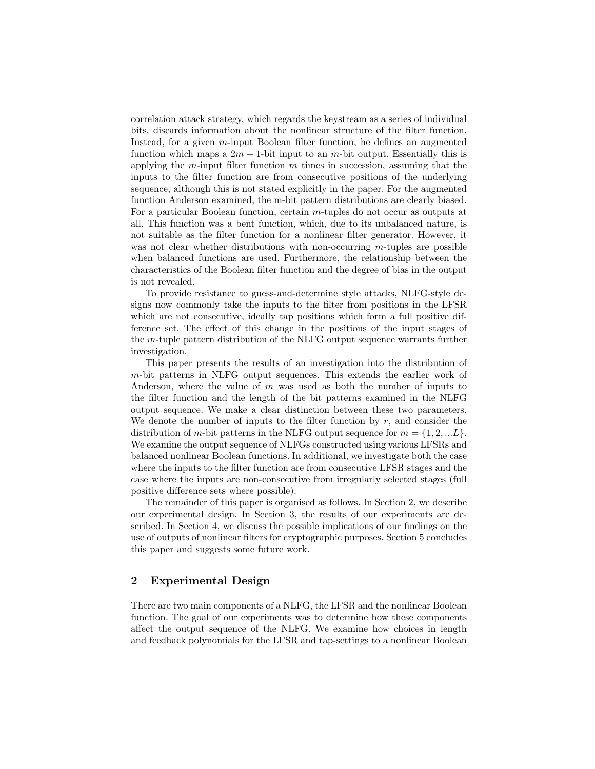correlation attack strategy, which regards the keystream as a series of individual bits, discards information about the nonlinear structure of the filter function. Instead, for a given  $m$ -input Boolean filter function, he defines an augmented function which maps a  $2m - 1$ -bit input to an m-bit output. Essentially this is applying the m-input filter function  $m$  times in succession, assuming that the inputs to the filter function are from consecutive positions of the underlying sequence, although this is not stated explicitly in the paper. For the augmented function Anderson examined, the m-bit pattern distributions are clearly biased. For a particular Boolean function, certain m-tuples do not occur as outputs at all. This function was a bent function, which, due to its unbalanced nature, is not suitable as the filter function for a nonlinear filter generator. However, it was not clear whether distributions with non-occurring  $m$ -tuples are possible when balanced functions are used. Furthermore, the relationship between the characteristics of the Boolean filter function and the degree of bias in the output is not revealed.

To provide resistance to guess-and-determine style attacks, NLFG-style designs now commonly take the inputs to the filter from positions in the LFSR which are not consecutive, ideally tap positions which form a full positive difference set. The effect of this change in the positions of the input stages of the m-tuple pattern distribution of the NLFG output sequence warrants further investigation.

This paper presents the results of an investigation into the distribution of m-bit patterns in NLFG output sequences. This extends the earlier work of Anderson, where the value of  $m$  was used as both the number of inputs to the filter function and the length of the bit patterns examined in the NLFG output sequence. We make a clear distinction between these two parameters. We denote the number of inputs to the filter function by  $r$ , and consider the distribution of m-bit patterns in the NLFG output sequence for  $m = \{1, 2, ... L\}$ . We examine the output sequence of NLFGs constructed using various LFSRs and balanced nonlinear Boolean functions. In additional, we investigate both the case where the inputs to the filter function are from consecutive LFSR stages and the case where the inputs are non-consecutive from irregularly selected stages (full positive difference sets where possible).

The remainder of this paper is organised as follows. In Section 2, we describe our experimental design. In Section 3, the results of our experiments are described. In Section 4, we discuss the possible implications of our findings on the use of outputs of nonlinear filters for cryptographic purposes. Section 5 concludes this paper and suggests some future work.

#### 2 Experimental Design

There are two main components of a NLFG, the LFSR and the nonlinear Boolean function. The goal of our experiments was to determine how these components affect the output sequence of the NLFG. We examine how choices in length and feedback polynomials for the LFSR and tap-settings to a nonlinear Boolean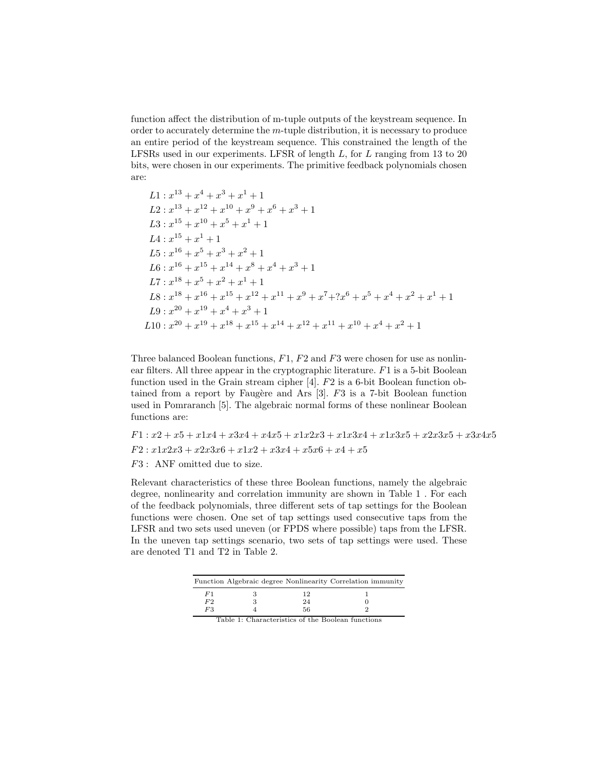function affect the distribution of m-tuple outputs of the keystream sequence. In order to accurately determine the  $m$ -tuple distribution, it is necessary to produce an entire period of the keystream sequence. This constrained the length of the LFSRs used in our experiments. LFSR of length  $L$ , for  $L$  ranging from 13 to 20 bits, were chosen in our experiments. The primitive feedback polynomials chosen are:

L1: 
$$
x^{13} + x^4 + x^3 + x^1 + 1
$$
  
\nL2:  $x^{13} + x^{12} + x^{10} + x^9 + x^6 + x^3 + 1$   
\nL3:  $x^{15} + x^{10} + x^5 + x^1 + 1$   
\nL4:  $x^{15} + x^1 + 1$   
\nL5:  $x^{16} + x^5 + x^3 + x^2 + 1$   
\nL6:  $x^{16} + x^{15} + x^{14} + x^8 + x^4 + x^3 + 1$   
\nL7:  $x^{18} + x^5 + x^2 + x^1 + 1$   
\nL8:  $x^{18} + x^{16} + x^{15} + x^{12} + x^{11} + x^9 + x^7 + ?x^6 + x^5 + x^4 + x^2 + x^1 + 1$   
\nL9:  $x^{20} + x^{19} + x^4 + x^3 + 1$   
\nL10:  $x^{20} + x^{19} + x^{18} + x^{15} + x^{14} + x^{12} + x^{11} + x^{10} + x^4 + x^2 + 1$ 

Three balanced Boolean functions,  $F1$ ,  $F2$  and  $F3$  were chosen for use as nonlinear filters. All three appear in the cryptographic literature.  $F1$  is a 5-bit Boolean function used in the Grain stream cipher [4]. F2 is a 6-bit Boolean function obtained from a report by Faugère and Ars  $[3]$ . F3 is a 7-bit Boolean function used in Pomraranch [5]. The algebraic normal forms of these nonlinear Boolean functions are:

 $F1: x2 + x5 + x1x4 + x3x4 + x4x5 + x1x2x3 + x1x3x4 + x1x3x5 + x2x3x5 + x3x4x5$  $F2: x1x2x3 + x2x3x6 + x1x2 + x3x4 + x5x6 + x4 + x5$ F3 : ANF omitted due to size.

Relevant characteristics of these three Boolean functions, namely the algebraic degree, nonlinearity and correlation immunity are shown in Table 1 . For each of the feedback polynomials, three different sets of tap settings for the Boolean functions were chosen. One set of tap settings used consecutive taps from the LFSR and two sets used uneven (or FPDS where possible) taps from the LFSR. In the uneven tap settings scenario, two sets of tap settings were used. These are denoted T1 and T2 in Table 2.

|    |    | Function Algebraic degree Nonlinearity Correlation immunity |
|----|----|-------------------------------------------------------------|
| F1 |    |                                                             |
| F2 | 24 |                                                             |
| F3 | 56 |                                                             |

| Table 1: Characteristics of the Boolean functions |
|---------------------------------------------------|
|---------------------------------------------------|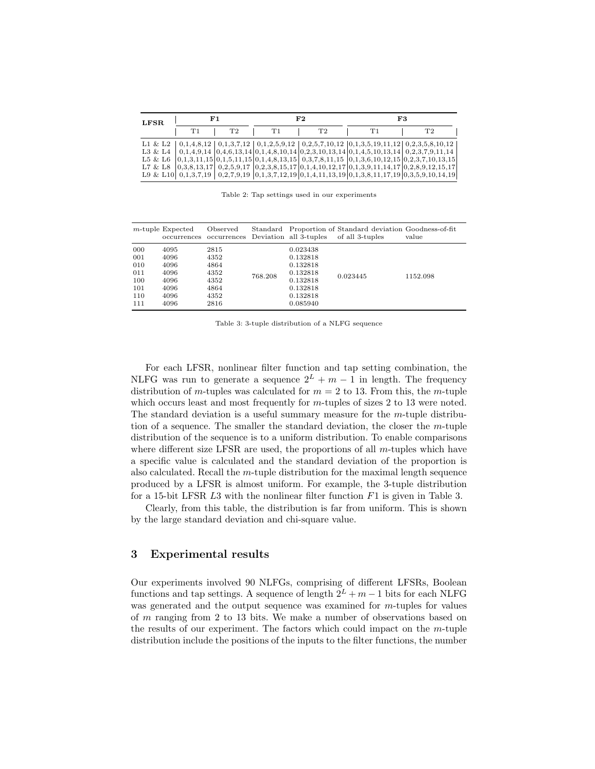| LFSR. |    | F 1 |    | F <sub>2</sub> |    | F3                                                                                                                                                                                                                                                                                                            |
|-------|----|-----|----|----------------|----|---------------------------------------------------------------------------------------------------------------------------------------------------------------------------------------------------------------------------------------------------------------------------------------------------------------|
|       | T1 | T2  | T1 | T2             | T1 | T <sub>2</sub>                                                                                                                                                                                                                                                                                                |
|       |    |     |    |                |    | L1 & L2 $\mid 0,1,4,8,12 \mid 0,1,3,7,12 \mid 0,1,2,5,9,12 \mid 0,2,5,7,10,12 \mid 0,1,3,5,19,11,12 \mid 0,2,3,5,8,10,12 \mid 0,1,3,5,19,11,12 \mid 0,1,3,5,19,11,12 \mid 0,1,3,5,19,11,12 \mid 0,1,3,5,19,11,12 \mid 0,1,3,5,19,11,12 \mid 0,1,3,5,19,11,12 \mid 0$                                          |
|       |    |     |    |                |    | L3 & L4 $\mid$ 0,1,4,9,14 $\mid$ 0,4,6,13,14 $\mid$ 0,1,4,8,10,14 $\mid$ 0,2,3,10,13,14 $\mid$ 0,1,4,5,10,13,14 $\mid$ 0,2,3,7,9,11,14                                                                                                                                                                        |
|       |    |     |    |                |    | L5 & L6 $[0,1,3,11,15]0,1,5,11,15]0,1,4,8,13,15]0,3,7,8,11,15]0,1,3,6,10,12,15]0,2,3,7,10,13,15]$                                                                                                                                                                                                             |
|       |    |     |    |                |    | L7 & L8 $\vert 0,3,8,13,17 \vert 0,2,5,9,17 \vert 0,2,3,8,15,17 \vert 0,1,4,10,12,17 \vert 0,1,3,9,11,14,17 \vert 0,2,8,9,12,15,17 \vert 0,1,14,17 \vert 0,1,16,17 \vert 0,1,17 \vert 0,1,18,19 \vert 0,19 \vert 0,10 \vert 0,11 \vert 0,10 \vert 0,11 \vert 0,10 \vert 0,11 \vert 0,10 \vert 0,11 \vert 0,1$ |
|       |    |     |    |                |    | L9 & L10 $\mid$ 0,1,3,7,19 $\mid$ 0,2,7,9,19 $\mid$ 0,1,3,7,12,19 $\mid$ 0,1,4,11,13,19 $\mid$ 0,1,3,8,11,17,19 $\mid$ 0,3,5,9,10,14,19                                                                                                                                                                       |

Table 2: Tap settings used in our experiments

|                                                      | $m$ -tuple Expected<br>occurrences                           | Observed<br>occurrences                                      |         | Deviation all 3-tuples                                                                       | Standard Proportion of Standard deviation Goodness-of-fit<br>of all 3-tuples | value    |
|------------------------------------------------------|--------------------------------------------------------------|--------------------------------------------------------------|---------|----------------------------------------------------------------------------------------------|------------------------------------------------------------------------------|----------|
| 000<br>001<br>010<br>011<br>100<br>101<br>110<br>111 | 4095<br>4096<br>4096<br>4096<br>4096<br>4096<br>4096<br>4096 | 2815<br>4352<br>4864<br>4352<br>4352<br>4864<br>4352<br>2816 | 768.208 | 0.023438<br>0.132818<br>0.132818<br>0.132818<br>0.132818<br>0.132818<br>0.132818<br>0.085940 | 0.023445                                                                     | 1152.098 |

Table 3: 3-tuple distribution of a NLFG sequence

For each LFSR, nonlinear filter function and tap setting combination, the NLFG was run to generate a sequence  $2^L + m - 1$  in length. The frequency distribution of m-tuples was calculated for  $m = 2$  to 13. From this, the m-tuple which occurs least and most frequently for m-tuples of sizes 2 to 13 were noted. The standard deviation is a useful summary measure for the  $m$ -tuple distribution of a sequence. The smaller the standard deviation, the closer the m-tuple distribution of the sequence is to a uniform distribution. To enable comparisons where different size LFSR are used, the proportions of all  $m$ -tuples which have a specific value is calculated and the standard deviation of the proportion is also calculated. Recall the m-tuple distribution for the maximal length sequence produced by a LFSR is almost uniform. For example, the 3-tuple distribution for a 15-bit LFSR L3 with the nonlinear filter function F1 is given in Table 3.

Clearly, from this table, the distribution is far from uniform. This is shown by the large standard deviation and chi-square value.

## 3 Experimental results

Our experiments involved 90 NLFGs, comprising of different LFSRs, Boolean functions and tap settings. A sequence of length  $2^L + m - 1$  bits for each NLFG was generated and the output sequence was examined for *m*-tuples for values of m ranging from 2 to 13 bits. We make a number of observations based on the results of our experiment. The factors which could impact on the  $m$ -tuple distribution include the positions of the inputs to the filter functions, the number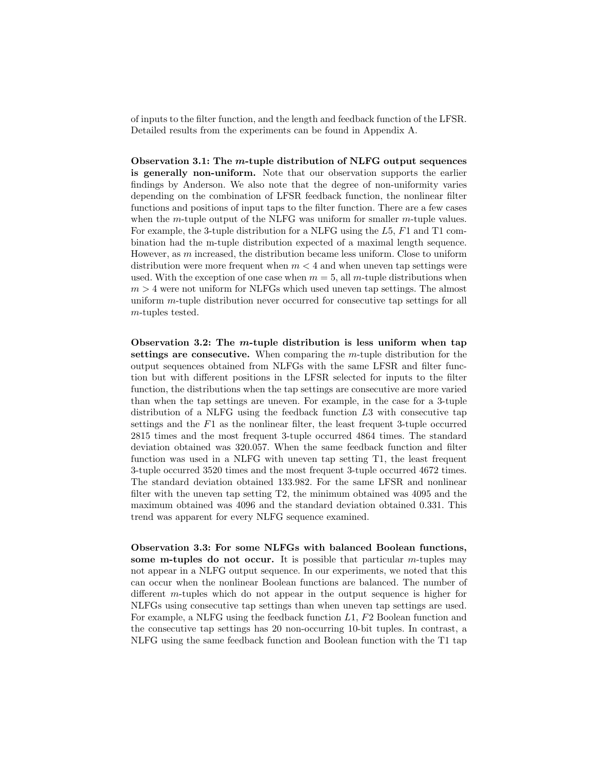of inputs to the filter function, and the length and feedback function of the LFSR. Detailed results from the experiments can be found in Appendix A.

Observation 3.1: The m-tuple distribution of NLFG output sequences is generally non-uniform. Note that our observation supports the earlier findings by Anderson. We also note that the degree of non-uniformity varies depending on the combination of LFSR feedback function, the nonlinear filter functions and positions of input taps to the filter function. There are a few cases when the m-tuple output of the NLFG was uniform for smaller  $m$ -tuple values. For example, the 3-tuple distribution for a NLFG using the L5, F1 and T1 combination had the m-tuple distribution expected of a maximal length sequence. However, as  $m$  increased, the distribution became less uniform. Close to uniform distribution were more frequent when  $m < 4$  and when uneven tap settings were used. With the exception of one case when  $m = 5$ , all m-tuple distributions when  $m > 4$  were not uniform for NLFGs which used uneven tap settings. The almost uniform m-tuple distribution never occurred for consecutive tap settings for all m-tuples tested.

Observation 3.2: The m-tuple distribution is less uniform when tap settings are consecutive. When comparing the m-tuple distribution for the output sequences obtained from NLFGs with the same LFSR and filter function but with different positions in the LFSR selected for inputs to the filter function, the distributions when the tap settings are consecutive are more varied than when the tap settings are uneven. For example, in the case for a 3-tuple distribution of a NLFG using the feedback function L3 with consecutive tap settings and the F1 as the nonlinear filter, the least frequent 3-tuple occurred 2815 times and the most frequent 3-tuple occurred 4864 times. The standard deviation obtained was 320.057. When the same feedback function and filter function was used in a NLFG with uneven tap setting T1, the least frequent 3-tuple occurred 3520 times and the most frequent 3-tuple occurred 4672 times. The standard deviation obtained 133.982. For the same LFSR and nonlinear filter with the uneven tap setting T2, the minimum obtained was 4095 and the maximum obtained was 4096 and the standard deviation obtained 0.331. This trend was apparent for every NLFG sequence examined.

Observation 3.3: For some NLFGs with balanced Boolean functions, some m-tuples do not occur. It is possible that particular  $m$ -tuples may not appear in a NLFG output sequence. In our experiments, we noted that this can occur when the nonlinear Boolean functions are balanced. The number of different m-tuples which do not appear in the output sequence is higher for NLFGs using consecutive tap settings than when uneven tap settings are used. For example, a NLFG using the feedback function L1, F2 Boolean function and the consecutive tap settings has 20 non-occurring 10-bit tuples. In contrast, a NLFG using the same feedback function and Boolean function with the T1 tap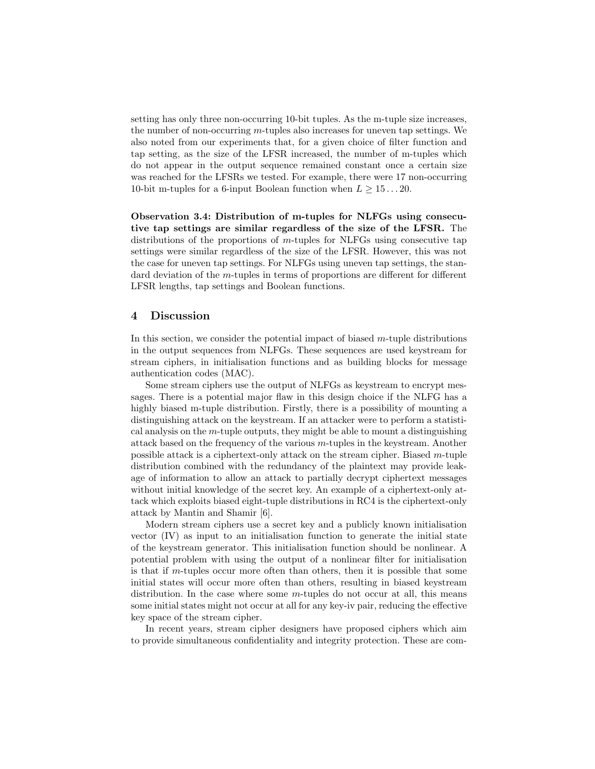setting has only three non-occurring 10-bit tuples. As the m-tuple size increases, the number of non-occurring  $m$ -tuples also increases for uneven tap settings. We also noted from our experiments that, for a given choice of filter function and tap setting, as the size of the LFSR increased, the number of m-tuples which do not appear in the output sequence remained constant once a certain size was reached for the LFSRs we tested. For example, there were 17 non-occurring 10-bit m-tuples for a 6-input Boolean function when  $L \geq 15...20$ .

Observation 3.4: Distribution of m-tuples for NLFGs using consecutive tap settings are similar regardless of the size of the LFSR. The distributions of the proportions of  $m$ -tuples for NLFGs using consecutive tap settings were similar regardless of the size of the LFSR. However, this was not the case for uneven tap settings. For NLFGs using uneven tap settings, the standard deviation of the *m*-tuples in terms of proportions are different for different LFSR lengths, tap settings and Boolean functions.

#### 4 Discussion

In this section, we consider the potential impact of biased  $m$ -tuple distributions in the output sequences from NLFGs. These sequences are used keystream for stream ciphers, in initialisation functions and as building blocks for message authentication codes (MAC).

Some stream ciphers use the output of NLFGs as keystream to encrypt messages. There is a potential major flaw in this design choice if the NLFG has a highly biased m-tuple distribution. Firstly, there is a possibility of mounting a distinguishing attack on the keystream. If an attacker were to perform a statistical analysis on the  $m$ -tuple outputs, they might be able to mount a distinguishing attack based on the frequency of the various  $m$ -tuples in the keystream. Another possible attack is a ciphertext-only attack on the stream cipher. Biased m-tuple distribution combined with the redundancy of the plaintext may provide leakage of information to allow an attack to partially decrypt ciphertext messages without initial knowledge of the secret key. An example of a ciphertext-only attack which exploits biased eight-tuple distributions in RC4 is the ciphertext-only attack by Mantin and Shamir [6].

Modern stream ciphers use a secret key and a publicly known initialisation vector (IV) as input to an initialisation function to generate the initial state of the keystream generator. This initialisation function should be nonlinear. A potential problem with using the output of a nonlinear filter for initialisation is that if m-tuples occur more often than others, then it is possible that some initial states will occur more often than others, resulting in biased keystream distribution. In the case where some  $m$ -tuples do not occur at all, this means some initial states might not occur at all for any key-iv pair, reducing the effective key space of the stream cipher.

In recent years, stream cipher designers have proposed ciphers which aim to provide simultaneous confidentiality and integrity protection. These are com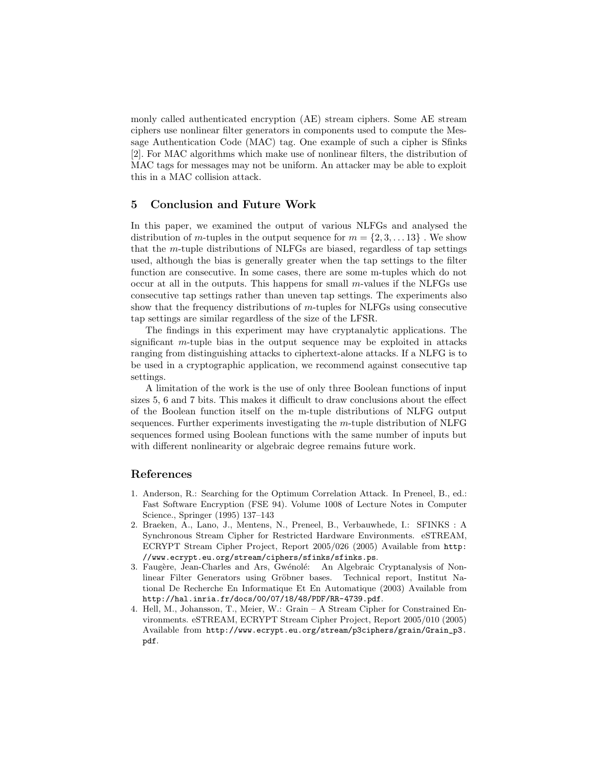monly called authenticated encryption (AE) stream ciphers. Some AE stream ciphers use nonlinear filter generators in components used to compute the Message Authentication Code (MAC) tag. One example of such a cipher is Sfinks [2]. For MAC algorithms which make use of nonlinear filters, the distribution of MAC tags for messages may not be uniform. An attacker may be able to exploit this in a MAC collision attack.

#### 5 Conclusion and Future Work

In this paper, we examined the output of various NLFGs and analysed the distribution of m-tuples in the output sequence for  $m = \{2, 3, \ldots, 13\}$ . We show that the m-tuple distributions of NLFGs are biased, regardless of tap settings used, although the bias is generally greater when the tap settings to the filter function are consecutive. In some cases, there are some m-tuples which do not occur at all in the outputs. This happens for small  $m$ -values if the NLFGs use consecutive tap settings rather than uneven tap settings. The experiments also show that the frequency distributions of  $m$ -tuples for NLFGs using consecutive tap settings are similar regardless of the size of the LFSR.

The findings in this experiment may have cryptanalytic applications. The significant  $m$ -tuple bias in the output sequence may be exploited in attacks ranging from distinguishing attacks to ciphertext-alone attacks. If a NLFG is to be used in a cryptographic application, we recommend against consecutive tap settings.

A limitation of the work is the use of only three Boolean functions of input sizes 5, 6 and 7 bits. This makes it difficult to draw conclusions about the effect of the Boolean function itself on the m-tuple distributions of NLFG output sequences. Further experiments investigating the m-tuple distribution of NLFG sequences formed using Boolean functions with the same number of inputs but with different nonlinearity or algebraic degree remains future work.

#### References

- 1. Anderson, R.: Searching for the Optimum Correlation Attack. In Preneel, B., ed.: Fast Software Encryption (FSE 94). Volume 1008 of Lecture Notes in Computer Science., Springer (1995) 137–143
- 2. Braeken, A., Lano, J., Mentens, N., Preneel, B., Verbauwhede, I.: SFINKS : A Synchronous Stream Cipher for Restricted Hardware Environments. eSTREAM, ECRYPT Stream Cipher Project, Report 2005/026 (2005) Available from http: //www.ecrypt.eu.org/stream/ciphers/sfinks/sfinks.ps.
- 3. Faugère, Jean-Charles and Ars, Gwénolé: An Algebraic Cryptanalysis of Nonlinear Filter Generators using Gröbner bases. Technical report, Institut National De Recherche En Informatique Et En Automatique (2003) Available from http://hal.inria.fr/docs/00/07/18/48/PDF/RR-4739.pdf.
- 4. Hell, M., Johansson, T., Meier, W.: Grain A Stream Cipher for Constrained Environments. eSTREAM, ECRYPT Stream Cipher Project, Report 2005/010 (2005) Available from http://www.ecrypt.eu.org/stream/p3ciphers/grain/Grain\_p3. pdf.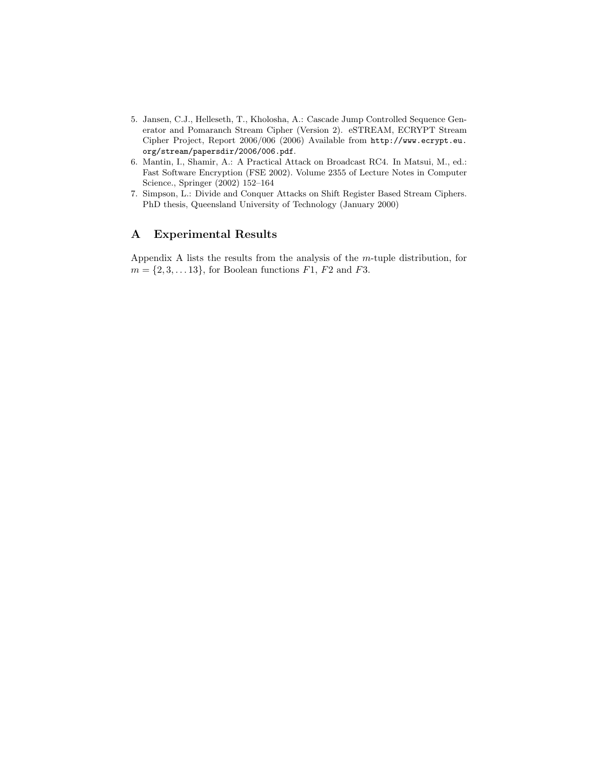- 5. Jansen, C.J., Helleseth, T., Kholosha, A.: Cascade Jump Controlled Sequence Generator and Pomaranch Stream Cipher (Version 2). eSTREAM, ECRYPT Stream Cipher Project, Report 2006/006 (2006) Available from http://www.ecrypt.eu. org/stream/papersdir/2006/006.pdf.
- 6. Mantin, I., Shamir, A.: A Practical Attack on Broadcast RC4. In Matsui, M., ed.: Fast Software Encryption (FSE 2002). Volume 2355 of Lecture Notes in Computer Science., Springer (2002) 152–164
- 7. Simpson, L.: Divide and Conquer Attacks on Shift Register Based Stream Ciphers. PhD thesis, Queensland University of Technology (January 2000)

# A Experimental Results

Appendix A lists the results from the analysis of the m-tuple distribution, for  $m = \{2, 3, \ldots 13\}$ , for Boolean functions  $F1$ ,  $F2$  and  $F3$ .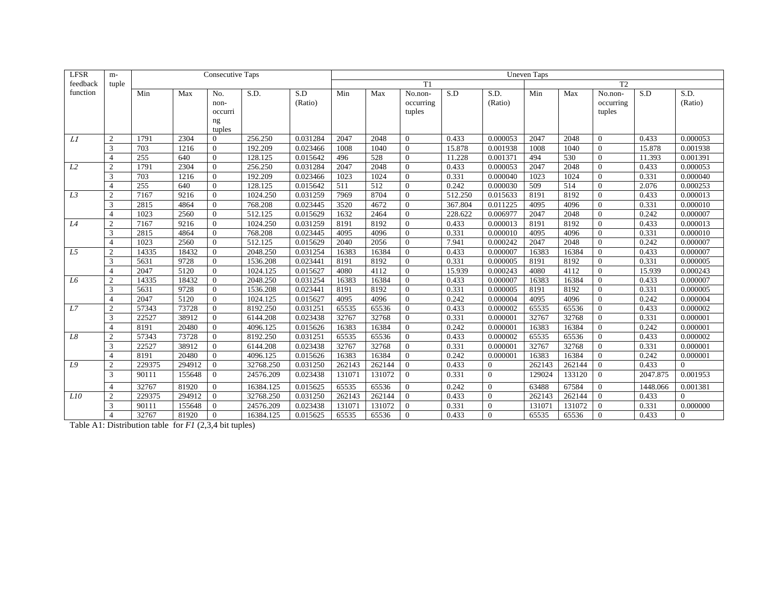| <b>LFSR</b> | $m-$           |        |        | <b>Consecutive Taps</b> |           |          |        |        |                |         |                | <b>Uneven Taps</b> |        |                  |          |          |
|-------------|----------------|--------|--------|-------------------------|-----------|----------|--------|--------|----------------|---------|----------------|--------------------|--------|------------------|----------|----------|
| feedback    | tuple          |        |        |                         |           |          |        |        | T1             |         |                |                    |        | T <sub>2</sub>   |          |          |
| function    |                | Min    | Max    | No.                     | S.D.      | S.D      | Min    | Max    | No.non-        | S.D     | S.D.           | Min                | Max    | No.non-          | S.D      | S.D.     |
|             |                |        |        | non-                    |           | (Ratio)  |        |        | occurring      |         | (Ratio)        |                    |        | occurring        |          | (Ratio)  |
|             |                |        |        | occurri                 |           |          |        |        | tuples         |         |                |                    |        | tuples           |          |          |
|             |                |        |        | ng                      |           |          |        |        |                |         |                |                    |        |                  |          |          |
|             |                |        |        | tuples                  |           |          |        |        |                |         |                |                    |        |                  |          |          |
| L1          | 2              | 1791   | 2304   | $\Omega$                | 256.250   | 0.031284 | 2047   | 2048   | $\Omega$       | 0.433   | 0.000053       | 2047               | 2048   | $\theta$         | 0.433    | 0.000053 |
|             | 3              | 703    | 1216   | $\Omega$                | 192.209   | 0.023466 | 1008   | 1040   | $\Omega$       | 15.878  | 0.001938       | 1008               | 1040   | $\mathbf{0}$     | 15.878   | 0.001938 |
|             | $\overline{4}$ | 255    | 640    | $\Omega$                | 128.125   | 0.015642 | 496    | 528    | $\Omega$       | 11.228  | 0.001371       | 494                | 530    | $\mathbf{0}$     | 11.393   | 0.001391 |
| L2          | $\overline{2}$ | 1791   | 2304   | $\Omega$                | 256.250   | 0.031284 | 2047   | 2048   | $\Omega$       | 0.433   | 0.000053       | 2047               | 2048   | $\theta$         | 0.433    | 0.000053 |
|             | 3              | 703    | 1216   | $\Omega$                | 192.209   | 0.023466 | 1023   | 1024   | $\Omega$       | 0.331   | 0.000040       | 1023               | 1024   | $\mathbf{0}$     | 0.331    | 0.000040 |
|             | $\overline{4}$ | 255    | 640    | $\Omega$                | 128.125   | 0.015642 | 511    | 512    | $\Omega$       | 0.242   | 0.000030       | 509                | 514    | $\boldsymbol{0}$ | 2.076    | 0.000253 |
| L3          | $\overline{2}$ | 7167   | 9216   | $\Omega$                | 1024.250  | 0.031259 | 7969   | 8704   | $\Omega$       | 512.250 | 0.015633       | 8191               | 8192   | $\overline{0}$   | 0.433    | 0.000013 |
|             | 3              | 2815   | 4864   | $\Omega$                | 768.208   | 0.023445 | 3520   | 4672   | $\Omega$       | 367.804 | 0.011225       | 4095               | 4096   | $\Omega$         | 0.331    | 0.000010 |
|             | $\overline{4}$ | 1023   | 2560   | $\Omega$                | 512.125   | 0.015629 | 1632   | 2464   | $\Omega$       | 228.622 | 0.006977       | 2047               | 2048   | $\theta$         | 0.242    | 0.000007 |
| L4          | $\overline{2}$ | 7167   | 9216   | $\Omega$                | 1024.250  | 0.031259 | 8191   | 8192   | $\Omega$       | 0.433   | 0.000013       | 8191               | 8192   | $\mathbf{0}$     | 0.433    | 0.000013 |
|             | 3              | 2815   | 4864   | $\mathbf{0}$            | 768.208   | 0.023445 | 4095   | 4096   | $\Omega$       | 0.331   | 0.000010       | 4095               | 4096   | $\mathbf{0}$     | 0.331    | 0.000010 |
|             | $\overline{4}$ | 1023   | 2560   | $\Omega$                | 512.125   | 0.015629 | 2040   | 2056   | $\Omega$       | 7.941   | 0.000242       | 2047               | 2048   | $\mathbf{0}$     | 0.242    | 0.000007 |
| L5          | $\overline{2}$ | 14335  | 18432  | $\Omega$                | 2048.250  | 0.031254 | 16383  | 16384  | $\Omega$       | 0.433   | 0.000007       | 16383              | 16384  | $\mathbf{0}$     | 0.433    | 0.000007 |
|             | 3              | 5631   | 9728   | $\Omega$                | 1536.208  | 0.023441 | 8191   | 8192   | $\Omega$       | 0.331   | 0.000005       | 8191               | 8192   | $\mathbf{0}$     | 0.331    | 0.000005 |
|             | $\overline{4}$ | 2047   | 5120   | $\mathbf{0}$            | 1024.125  | 0.015627 | 4080   | 4112   | $\mathbf{0}$   | 15.939  | 0.000243       | 4080               | 4112   | $\mathbf{0}$     | 15.939   | 0.000243 |
| L6          | $\overline{2}$ | 14335  | 18432  | $\mathbf{0}$            | 2048.250  | 0.031254 | 16383  | 16384  | $\overline{0}$ | 0.433   | 0.000007       | 16383              | 16384  | $\mathbf{0}$     | 0.433    | 0.000007 |
|             | 3              | 5631   | 9728   | $\Omega$                | 1536.208  | 0.023441 | 8191   | 8192   | $\Omega$       | 0.331   | 0.000005       | 8191               | 8192   | $\mathbf{0}$     | 0.331    | 0.000005 |
|             | $\overline{4}$ | 2047   | 5120   | $\Omega$                | 1024.125  | 0.015627 | 4095   | 4096   | $\Omega$       | 0.242   | 0.000004       | 4095               | 4096   | $\mathbf{0}$     | 0.242    | 0.000004 |
| L7          | $\overline{2}$ | 57343  | 73728  | $\overline{0}$          | 8192.250  | 0.031251 | 65535  | 65536  | $\overline{0}$ | 0.433   | 0.000002       | 65535              | 65536  | $\boldsymbol{0}$ | 0.433    | 0.000002 |
|             | 3              | 22527  | 38912  | $\overline{0}$          | 6144.208  | 0.023438 | 32767  | 32768  | $\overline{0}$ | 0.331   | 0.000001       | 32767              | 32768  | $\mathbf{0}$     | 0.331    | 0.000001 |
|             | $\overline{4}$ | 8191   | 20480  | $\Omega$                | 4096.125  | 0.015626 | 16383  | 16384  | $\Omega$       | 0.242   | 0.000001       | 16383              | 16384  | $\mathbf{0}$     | 0.242    | 0.000001 |
| L8          | $\overline{2}$ | 57343  | 73728  | $\mathbf{0}$            | 8192.250  | 0.031251 | 65535  | 65536  | $\overline{0}$ | 0.433   | 0.000002       | 65535              | 65536  | $\boldsymbol{0}$ | 0.433    | 0.000002 |
|             | 3              | 22527  | 38912  | $\mathbf{0}$            | 6144.208  | 0.023438 | 32767  | 32768  | $\overline{0}$ | 0.331   | 0.000001       | 32767              | 32768  | $\mathbf{0}$     | 0.331    | 0.000001 |
|             | $\overline{4}$ | 8191   | 20480  | $\mathbf{0}$            | 4096.125  | 0.015626 | 16383  | 16384  | $\overline{0}$ | 0.242   | 0.000001       | 16383              | 16384  | $\mathbf{0}$     | 0.242    | 0.000001 |
| L9          | $\overline{2}$ | 229375 | 294912 | $\overline{0}$          | 32768.250 | 0.031250 | 262143 | 262144 | $\Omega$       | 0.433   | $\overline{0}$ | 262143             | 262144 | $\mathbf{0}$     | 0.433    | 0        |
|             | 3              | 90111  | 155648 | $\mathbf{0}$            | 24576.209 | 0.023438 | 131071 | 131072 | $\Omega$       | 0.331   | $\overline{0}$ | 129024             | 133120 | $\theta$         | 2047.875 | 0.001953 |
|             | $\overline{4}$ | 32767  | 81920  | $\Omega$                | 16384.125 | 0.015625 | 65535  | 65536  | $\Omega$       | 0.242   | $\overline{0}$ | 63488              | 67584  | $\mathbf{0}$     | 1448.066 | 0.001381 |
| L10         | 2              | 229375 | 294912 | $\overline{0}$          | 32768.250 | 0.031250 | 262143 | 262144 | $\overline{0}$ | 0.433   | $\mathbf{0}$   | 262143             | 262144 | $\overline{0}$   | 0.433    | $\Omega$ |
|             | 3              | 90111  | 155648 | $\overline{0}$          | 24576.209 | 0.023438 | 131071 | 131072 | $\Omega$       | 0.331   | $\Omega$       | 13107              | 131072 | $\Omega$         | 0.331    | 0.000000 |
|             | $\overline{4}$ | 32767  | 81920  | $\Omega$                | 16384.125 | 0.015625 | 65535  | 65536  | $\Omega$       | 0.433   | $\theta$       | 65535              | 65536  | $\Omega$         | 0.433    | $\Omega$ |

Table A1: Distribution table for *F1* (2,3,4 bit tuples)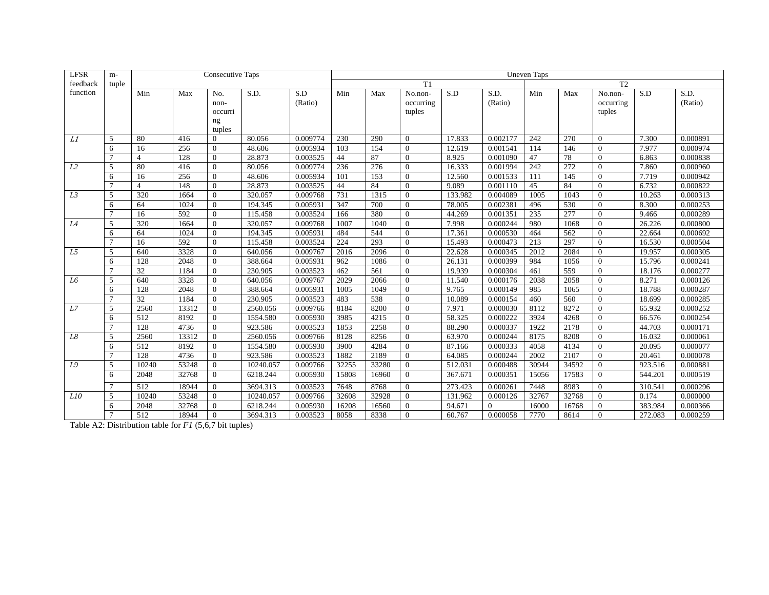| <b>LFSR</b>    | $m-$           |                          |       | <b>Consecutive Taps</b> |           |          |       |       |                |         |          | Uneven Taps |       |                  |         |          |
|----------------|----------------|--------------------------|-------|-------------------------|-----------|----------|-------|-------|----------------|---------|----------|-------------|-------|------------------|---------|----------|
| feedback       | tuple          |                          |       |                         |           |          |       |       | T1             |         |          |             |       | T <sub>2</sub>   |         |          |
| function       |                | Min                      | Max   | No.                     | S.D.      | S.D      | Min   | Max   | No.non-        | S.D     | S.D.     | Min         | Max   | No.non-          | S.D     | S.D.     |
|                |                |                          |       | non-                    |           | (Ratio)  |       |       | occurring      |         | (Ratio)  |             |       | occurring        |         | (Ratio)  |
|                |                |                          |       | occurri                 |           |          |       |       | tuples         |         |          |             |       | tuples           |         |          |
|                |                |                          |       | ng                      |           |          |       |       |                |         |          |             |       |                  |         |          |
|                |                |                          |       | tuples                  |           |          |       |       |                |         |          |             |       |                  |         |          |
| L1             | 5              | 80                       | 416   | $\Omega$                | 80.056    | 0.009774 | 230   | 290   | $\Omega$       | 17.833  | 0.002177 | 242         | 270   | $\mathbf{0}$     | 7.300   | 0.000891 |
|                | 6              | 16                       | 256   | $\Omega$                | 48.606    | 0.005934 | 103   | 154   | $\Omega$       | 12.619  | 0.001541 | 114         | 146   | $\mathbf{0}$     | 7.977   | 0.000974 |
|                | $\overline{7}$ | $\overline{4}$           | 128   | $\Omega$                | 28.873    | 0.003525 | 44    | 87    | $\Omega$       | 8.925   | 0.001090 | 47          | 78    | $\Omega$         | 6.863   | 0.000838 |
| L2             | .5             | 80                       | 416   | $\Omega$                | 80.056    | 0.009774 | 236   | 276   | $\Omega$       | 16.333  | 0.001994 | 242         | 272   | $\mathbf{0}$     | 7.860   | 0.000960 |
|                | 6              | 16                       | 256   | $\Omega$                | 48.606    | 0.005934 | 101   | 153   | $\Omega$       | 12.560  | 0.001533 | 111         | 145   | $\overline{0}$   | 7.719   | 0.000942 |
|                |                | $\overline{\mathcal{L}}$ | 148   | $\Omega$                | 28.873    | 0.003525 | 44    | 84    | $\Omega$       | 9.089   | 0.001110 | 45          | 84    | $\overline{0}$   | 6.732   | 0.000822 |
| L3             | 5              | 320                      | 1664  | $\Omega$                | 320.057   | 0.009768 | 731   | 1315  | $\Omega$       | 133.982 | 0.004089 | 1005        | 1043  | $\mathbf{0}$     | 10.263  | 0.000313 |
|                | 6              | 64                       | 1024  | $\Omega$                | 194.345   | 0.005931 | 347   | 700   | $\Omega$       | 78.005  | 0.002381 | 496         | 530   | $\mathbf{0}$     | 8.300   | 0.000253 |
|                | $\mathcal{I}$  | 16                       | 592   | $\Omega$                | 115.458   | 0.003524 | 166   | 380   | $\Omega$       | 44.269  | 0.001351 | 235         | 277   | $\overline{0}$   | 9.466   | 0.000289 |
| L4             | 5              | 320                      | 1664  | $\Omega$                | 320.057   | 0.009768 | 1007  | 1040  | $\Omega$       | 7.998   | 0.000244 | 980         | 1068  | $\overline{0}$   | 26.226  | 0.000800 |
|                | 6              | 64                       | 1024  | $\Omega$                | 194.345   | 0.005931 | 484   | 544   | $\Omega$       | 17.361  | 0.000530 | 464         | 562   | $\mathbf{0}$     | 22.664  | 0.000692 |
|                |                | 16                       | 592   | $\Omega$                | 115.458   | 0.003524 | 224   | 293   | $\Omega$       | 15.493  | 0.000473 | 213         | 297   | $\mathbf{0}$     | 16.530  | 0.000504 |
| L <sub>5</sub> | 5              | 640                      | 3328  | $\Omega$                | 640.056   | 0.009767 | 2016  | 2096  | $\Omega$       | 22.628  | 0.000345 | 2012        | 2084  | $\mathbf{0}$     | 19.957  | 0.000305 |
|                | 6              | 128                      | 2048  | $\Omega$                | 388.664   | 0.005931 | 962   | 1086  | $\Omega$       | 26.131  | 0.000399 | 984         | 1056  | $\mathbf{0}$     | 15.796  | 0.000241 |
|                | $\overline{7}$ | 32                       | 1184  | $\Omega$                | 230.905   | 0.003523 | 462   | 561   | $\Omega$       | 19.939  | 0.000304 | 461         | 559   | $\mathbf{0}$     | 18.176  | 0.000277 |
| L6             | 5              | 640                      | 3328  | $\Omega$                | 640.056   | 0.009767 | 2029  | 2066  | $\Omega$       | 11.540  | 0.000176 | 2038        | 2058  | $\mathbf{0}$     | 8.271   | 0.000126 |
|                | 6              | 128                      | 2048  | $\Omega$                | 388.664   | 0.005931 | 1005  | 1049  | $\Omega$       | 9.765   | 0.000149 | 985         | 1065  | $\mathbf{0}$     | 18.788  | 0.000287 |
|                |                | 32                       | 1184  | $\Omega$                | 230.905   | 0.003523 | 483   | 538   | $\Omega$       | 10.089  | 0.000154 | 460         | 560   | $\mathbf{0}$     | 18.699  | 0.000285 |
| L7             | 5              | 2560                     | 13312 | $\Omega$                | 2560.056  | 0.009766 | 8184  | 8200  | $\Omega$       | 7.971   | 0.000030 | 8112        | 8272  | $\mathbf{0}$     | 65.932  | 0.000252 |
|                | 6              | 512                      | 8192  | $\Omega$                | 1554.580  | 0.005930 | 3985  | 4215  | $\Omega$       | 58.325  | 0.000222 | 3924        | 4268  | $\boldsymbol{0}$ | 66.576  | 0.000254 |
|                |                | 128                      | 4736  | $\mathbf{0}$            | 923.586   | 0.003523 | 1853  | 2258  | $\overline{0}$ | 88.290  | 0.000337 | 1922        | 2178  | $\mathbf{0}$     | 44.703  | 0.000171 |
| L8             | 5              | 2560                     | 13312 | $\Omega$                | 2560.056  | 0.009766 | 8128  | 8256  | $\Omega$       | 63.970  | 0.000244 | 8175        | 8208  | $\boldsymbol{0}$ | 16.032  | 0.000061 |
|                | 6              | 512                      | 8192  | $\Omega$                | 1554.580  | 0.005930 | 3900  | 4284  | $\Omega$       | 87.166  | 0.000333 | 4058        | 4134  | $\boldsymbol{0}$ | 20.095  | 0.000077 |
|                |                | 128                      | 4736  | $\mathbf{0}$            | 923.586   | 0.003523 | 1882  | 2189  | $\Omega$       | 64.085  | 0.000244 | 2002        | 2107  | $\mathbf{0}$     | 20.461  | 0.000078 |
| L9             | 5              | 10240                    | 53248 | $\overline{0}$          | 10240.057 | 0.009766 | 32255 | 33280 | $\overline{0}$ | 512.031 | 0.000488 | 30944       | 34592 | $\mathbf{0}$     | 923.516 | 0.000881 |
|                | 6              | 2048                     | 32768 | $\Omega$                | 6218.244  | 0.005930 | 15808 | 16960 | $\Omega$       | 367.671 | 0.000351 | 15056       | 17583 | $\mathbf{0}$     | 544.201 | 0.000519 |
|                | $\overline{7}$ | 512                      | 18944 | $\Omega$                | 3694.313  | 0.003523 | 7648  | 8768  | $\Omega$       | 273.423 | 0.000261 | 7448        | 8983  | $\Omega$         | 310.541 | 0.000296 |
| L10            | 5              | 10240                    | 53248 | $\mathbf{0}$            | 10240.057 | 0.009766 | 32608 | 32928 | $\Omega$       | 131.962 | 0.000126 | 32767       | 32768 | $\overline{0}$   | 0.174   | 0.000000 |
|                | 6              | 2048                     | 32768 | $\Omega$                | 6218.244  | 0.005930 | 16208 | 16560 | $\Omega$       | 94.671  | $\theta$ | 16000       | 16768 | $\mathbf{0}$     | 383.984 | 0.000366 |
|                | $\mathcal{I}$  | 512                      | 18944 | $\Omega$                | 3694.313  | 0.003523 | 8058  | 8338  | $\Omega$       | 60.767  | 0.000058 | 7770        | 8614  | $\Omega$         | 272.083 | 0.000259 |

Table A2: Distribution table for *F1* (5,6,7 bit tuples)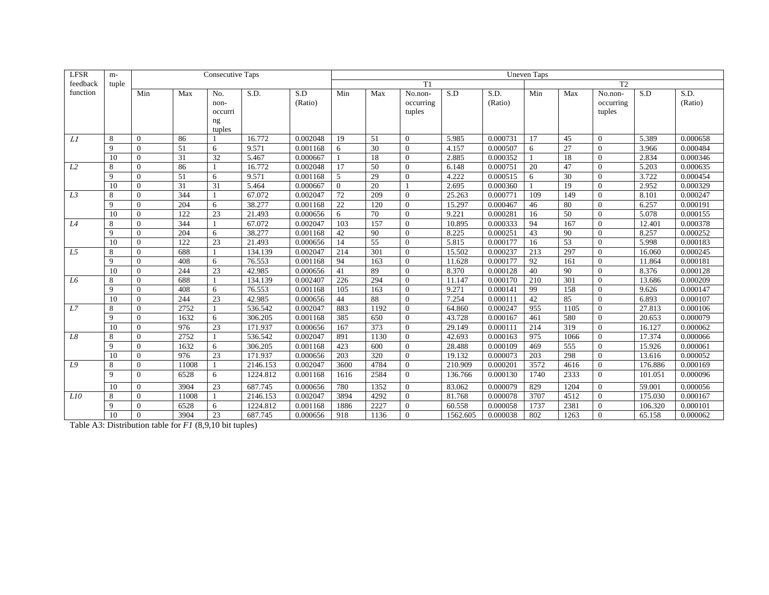| <b>LFSR</b>    | $m-$            |                |                  | <b>Consecutive Taps</b> |          |          |                  |                 |           |          |          | <b>Uneven Taps</b> |                 |                |         |          |
|----------------|-----------------|----------------|------------------|-------------------------|----------|----------|------------------|-----------------|-----------|----------|----------|--------------------|-----------------|----------------|---------|----------|
| feedback       | tuple           |                |                  |                         |          |          |                  |                 | T1        |          |          |                    |                 | T <sub>2</sub> |         |          |
| function       |                 | Min            | Max              | No.                     | S.D.     | S.D      | Min              | Max             | No.non-   | S.D      | S.D.     | Min                | Max             | No.non-        | S.D     | S.D.     |
|                |                 |                |                  | non-                    |          | (Ratio)  |                  |                 | occurring |          | (Ratio)  |                    |                 | occurring      |         | (Ratio)  |
|                |                 |                |                  | occurri                 |          |          |                  |                 | tuples    |          |          |                    |                 | tuples         |         |          |
|                |                 |                |                  | ng                      |          |          |                  |                 |           |          |          |                    |                 |                |         |          |
|                |                 |                |                  | tuples                  |          |          |                  |                 |           |          |          |                    |                 |                |         |          |
| L1             | 8               | $\Omega$       | 86               |                         | 16.772   | 0.002048 | 19               | 51              | $\Omega$  | 5.985    | 0.000731 | 17                 | 45              | $\Omega$       | 5.389   | 0.000658 |
|                | $\mathbf{Q}$    | $\Omega$       | 51               | 6                       | 9.571    | 0.001168 | 6                | 30              | $\Omega$  | 4.157    | 0.000507 | 6                  | 27              | $\Omega$       | 3.966   | 0.000484 |
|                | 10              | $\Omega$       | 31               | 32                      | 5.467    | 0.000667 |                  | 18              | $\Omega$  | 2.885    | 0.000352 |                    | 18              | $\overline{0}$ | 2.834   | 0.000346 |
| L2             | 8               | $\Omega$       | 86               |                         | 16.772   | 0.002048 | 17               | 50              | $\Omega$  | 6.148    | 0.000751 | 20                 | 47              | $\overline{0}$ | 5.203   | 0.000635 |
|                | $\mathbf{Q}$    | $\Omega$       | 51               | 6                       | 9.571    | 0.001168 | $\overline{5}$   | 29              | $\Omega$  | 4.222    | 0.000515 | 6                  | 30              | $\theta$       | 3.722   | 0.000454 |
|                | $\overline{10}$ | $\Omega$       | 31               | 31                      | 5.464    | 0.000667 | $\Omega$         | $\overline{20}$ |           | 2.695    | 0.000360 |                    | 19              | $\theta$       | 2.952   | 0.000329 |
| L3             | 8               | $\Omega$       | 344              |                         | 67.072   | 0.002047 | 72               | 209             | $\Omega$  | 25.263   | 0.000771 | 109                | 149             | $\overline{0}$ | 8.101   | 0.000247 |
|                | 9               | $\Omega$       | 204              | 6                       | 38.277   | 0.001168 | 22               | 120             | $\Omega$  | 15.297   | 0.000467 | 46                 | 80              | $\overline{0}$ | 6.257   | 0.000191 |
|                | 10              | $\Omega$       | 122              | 23                      | 21.493   | 0.000656 | 6                | 70              | $\Omega$  | 9.221    | 0.000281 | 16                 | 50              | $\overline{0}$ | 5.078   | 0.000155 |
| L4             | 8               | $\Omega$       | 344              |                         | 67.072   | 0.002047 | 103              | 157             | $\Omega$  | 10.895   | 0.000333 | 94                 | 167             | $\Omega$       | 12.401  | 0.000378 |
|                | $\mathbf{Q}$    | $\Omega$       | 204              | 6                       | 38.277   | 0.001168 | 42               | 90              | $\Omega$  | 8.225    | 0.000251 | 43                 | 90              | $\theta$       | 8.257   | 0.000252 |
|                | 10              | $\Omega$       | $\overline{122}$ | 23                      | 21.493   | 0.000656 | 14               | $\overline{55}$ | $\Omega$  | 5.815    | 0.000177 | 16                 | $\overline{53}$ | $\Omega$       | 5.998   | 0.000183 |
| L5             | 8               | $\Omega$       | 688              |                         | 134.139  | 0.002047 | 214              | 301             | $\Omega$  | 15.502   | 0.000237 | 213                | 297             | $\theta$       | 16.060  | 0.000245 |
|                | 9               | $\Omega$       | 408              | 6                       | 76.553   | 0.001168 | 94               | 163             | $\Omega$  | 11.628   | 0.000177 | 92                 | 161             | $\mathbf{0}$   | 11.864  | 0.000181 |
|                | 10              | $\Omega$       | 244              | 23                      | 42.985   | 0.000656 | 41               | 89              | $\Omega$  | 8.370    | 0.000128 | 40                 | 90              | $\theta$       | 8.376   | 0.000128 |
| L <sub>6</sub> | 8               | $\Omega$       | 688              |                         | 134.139  | 0.002407 | 226              | 294             | $\Omega$  | 11.147   | 0.000170 | 210                | 301             | $\theta$       | 13.686  | 0.000209 |
|                | $\mathbf{Q}$    | $\Omega$       | 408              | 6                       | 76.553   | 0.001168 | $\overline{105}$ | 163             | $\Omega$  | 9.271    | 0.000141 | 99                 | 158             | $\overline{0}$ | 9.626   | 0.000147 |
|                | 10              | $\Omega$       | 244              | 23                      | 42.985   | 0.000656 | 44               | 88              | $\Omega$  | 7.254    | 0.000111 | 42                 | 85              | $\overline{0}$ | 6.893   | 0.000107 |
| L7             | 8               | $\overline{0}$ | 2752             |                         | 536.542  | 0.002047 | 883              | 1192            | $\Omega$  | 64.860   | 0.000247 | 955                | 1105            | $\mathbf{0}$   | 27.813  | 0.000106 |
|                | 9               | $\Omega$       | 1632             | 6                       | 306.205  | 0.001168 | 385              | 650             | $\Omega$  | 43.728   | 0.000167 | 461                | 580             | $\mathbf{0}$   | 20.653  | 0.000079 |
|                | 10              | $\theta$       | 976              | 23                      | 171.937  | 0.000656 | 167              | 373             | $\Omega$  | 29.149   | 0.000111 | 214                | 319             | $\mathbf{0}$   | 16.127  | 0.000062 |
| L8             | 8               | $\Omega$       | 2752             |                         | 536.542  | 0.002047 | 891              | 1130            | $\Omega$  | 42.693   | 0.000163 | 975                | 1066            | $\mathbf{0}$   | 17.374  | 0.000066 |
|                | $\mathbf{Q}$    | $\Omega$       | 1632             | 6                       | 306.205  | 0.001168 | 423              | 600             | $\Omega$  | 28.488   | 0.000109 | 469                | 555             | $\mathbf{0}$   | 15.926  | 0.000061 |
|                | 10              | $\Omega$       | 976              | 23                      | 171.937  | 0.000656 | 203              | 320             | $\Omega$  | 19.132   | 0.000073 | 203                | 298             | $\mathbf{0}$   | 13.616  | 0.000052 |
| L9             | 8               | $\Omega$       | 11008            |                         | 2146.153 | 0.002047 | 3600             | 4784            | $\Omega$  | 210.909  | 0.000201 | 3572               | 4616            | $\mathbf{0}$   | 176.886 | 0.000169 |
|                | 9               | $\Omega$       | 6528             | 6                       | 1224.812 | 0.001168 | 1616             | 2584            | $\Omega$  | 136.766  | 0.000130 | 1740               | 2333            | $\Omega$       | 101.051 | 0.000096 |
|                | 10              | $\theta$       | 3904             | 23                      | 687.745  | 0.000656 | 780              | 1352            | $\Omega$  | 83.062   | 0.000079 | 829                | 1204            | $\Omega$       | 59.001  | 0.000056 |
| L10            | 8               | $\Omega$       | 11008            |                         | 2146.153 | 0.002047 | 3894             | 4292            | $\Omega$  | 81.768   | 0.000078 | 3707               | 4512            | $\theta$       | 175.030 | 0.000167 |
|                | $\mathbf Q$     | $\Omega$       | 6528             | 6                       | 1224.812 | 0.001168 | 1886             | 2227            | $\Omega$  | 60.558   | 0.000058 | 1737               | 2381            | $\mathbf{0}$   | 106.320 | 0.000101 |
|                | 10              | $\Omega$       | 3904             | 23                      | 687.745  | 0.000656 | 918              | 1136            | $\Omega$  | 1562.605 | 0.000038 | 802                | 1263            | $\Omega$       | 65.158  | 0.000062 |

Table A3: Distribution table for *F1* (8,9,10 bit tuples)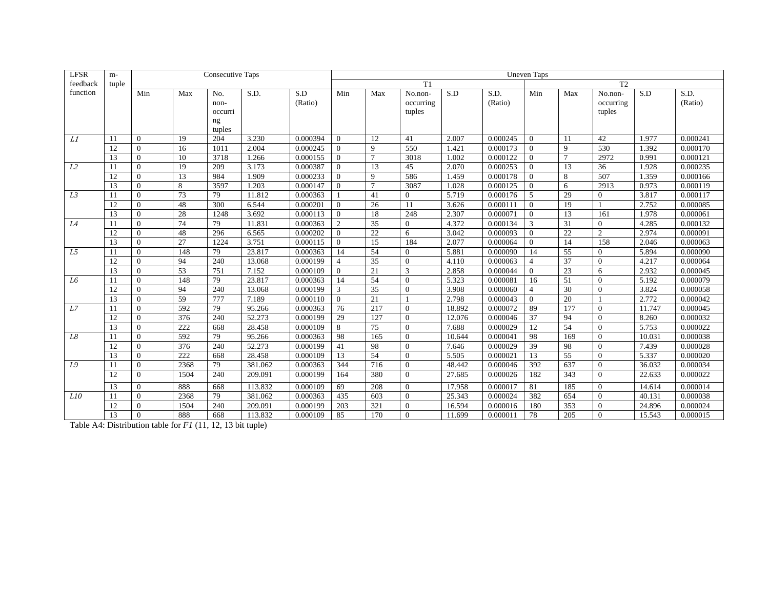| <b>LFSR</b>    | m-    |                |      | <b>Consecutive Taps</b> |         |          |                |        |                |        |          | <b>Uneven Taps</b> |                |                |        |          |
|----------------|-------|----------------|------|-------------------------|---------|----------|----------------|--------|----------------|--------|----------|--------------------|----------------|----------------|--------|----------|
| feedback       | tuple |                |      |                         |         |          |                |        | T1             |        |          |                    |                | T2             |        |          |
| function       |       | Min            | Max  | No.                     | S.D.    | S.D      | Min            | Max    | No.non-        | S.D    | S.D.     | Min                | Max            | No.non-        | S.D    | S.D.     |
|                |       |                |      | non-                    |         | (Ratio)  |                |        | occurring      |        | (Ratio)  |                    |                | occurring      |        | (Ratio)  |
|                |       |                |      | occurri                 |         |          |                |        | tuples         |        |          |                    |                | tuples         |        |          |
|                |       |                |      | ng                      |         |          |                |        |                |        |          |                    |                |                |        |          |
|                |       |                |      | tuples                  |         |          |                |        |                |        |          |                    |                |                |        |          |
| L1             | 11    | $\Omega$       | 19   | 204                     | 3.230   | 0.000394 | $\Omega$       | 12     | 41             | 2.007  | 0.000245 | $\Omega$           | 11             | 42             | 1.977  | 0.000241 |
|                | 12    | $\Omega$       | 16   | 1011                    | 2.004   | 0.000245 | $\Omega$       | 9      | 550            | 1.421  | 0.000173 | $\theta$           | 9              | 530            | 1.392  | 0.000170 |
|                | 13    | $\Omega$       | 10   | 3718                    | 1.266   | 0.000155 | $\Omega$       | $\tau$ | 3018           | 1.002  | 0.000122 | $\Omega$           | $\overline{7}$ | 2972           | 0.991  | 0.000121 |
| L2             | 11    | $\Omega$       | 19   | 209                     | 3.173   | 0.000387 | $\Omega$       | 13     | 45             | 2.070  | 0.000253 | $\Omega$           | 13             | 36             | 1.928  | 0.000235 |
|                | 12    | $\Omega$       | 13   | 984                     | 1.909   | 0.000233 | $\Omega$       | 9      | 586            | 1.459  | 0.000178 | $\Omega$           | 8              | 507            | 1.359  | 0.000166 |
|                | 13    | $\theta$       | 8    | 3597                    | 1.203   | 0.000147 | $\Omega$       | $\tau$ | 3087           | 1.028  | 0.000125 | $\overline{0}$     | 6              | 2913           | 0.973  | 0.000119 |
| L <sub>3</sub> | 11    | $\Omega$       | 73   | 79                      | 11.812  | 0.000363 |                | 41     | $\overline{0}$ | 5.719  | 0.000176 | 5                  | 29             | $\Omega$       | 3.817  | 0.000117 |
|                | 12    | $\Omega$       | 48   | 300                     | 6.544   | 0.000201 | $\Omega$       | 26     | 11             | 3.626  | 0.000111 | $\Omega$           | 19             |                | 2.752  | 0.000085 |
|                | 13    | $\Omega$       | 28   | 1248                    | 3.692   | 0.000113 | $\Omega$       | 18     | 248            | 2.307  | 0.000071 | $\Omega$           | 13             | 161            | 1.978  | 0.000061 |
| L4             | 11    | $\Omega$       | 74   | 79                      | 11.831  | 0.000363 | $\overline{2}$ | 35     | $\overline{0}$ | 4.372  | 0.000134 | 3                  | 31             | $\theta$       | 4.285  | 0.000132 |
|                | 12    | $\overline{0}$ | 48   | 296                     | 6.565   | 0.000202 | $\Omega$       | 22     | 6              | 3.042  | 0.000093 | $\mathbf{0}$       | 22             | $\overline{c}$ | 2.974  | 0.000091 |
|                | 13    | $\Omega$       | 27   | 1224                    | 3.751   | 0.000115 | $\Omega$       | 15     | 184            | 2.077  | 0.000064 | $\theta$           | 14             | 158            | 2.046  | 0.000063 |
| L5             | 11    | $\Omega$       | 148  | 79                      | 23.817  | 0.000363 | 14             | 54     | $\Omega$       | 5.881  | 0.000090 | 14                 | 55             | $\Omega$       | 5.894  | 0.000090 |
|                | 12    | $\theta$       | 94   | 240                     | 13.068  | 0.000199 | $\overline{4}$ | 35     | $\mathbf{0}$   | 4.110  | 0.000063 | $\overline{4}$     | 37             | $\Omega$       | 4.217  | 0.000064 |
|                | 13    | $\mathbf{0}$   | 53   | 751                     | 7.152   | 0.000109 | $\Omega$       | 21     | 3              | 2.858  | 0.000044 | $\overline{0}$     | 23             | 6              | 2.932  | 0.000045 |
| L6             | 11    | $\overline{0}$ | 148  | 79                      | 23.817  | 0.000363 | 14             | 54     | $\theta$       | 5.323  | 0.000081 | 16                 | 51             | $\overline{0}$ | 5.192  | 0.000079 |
|                | 12    | $\Omega$       | 94   | 240                     | 13.068  | 0.000199 | 3              | 35     | $\Omega$       | 3.908  | 0.000060 | $\overline{4}$     | 30             | $\overline{0}$ | 3.824  | 0.000058 |
|                | 13    | $\theta$       | 59   | 777                     | 7.189   | 0.000110 | $\theta$       | 21     |                | 2.798  | 0.000043 | $\overline{0}$     | 20             | $\overline{1}$ | 2.772  | 0.000042 |
| L7             | 11    | $\theta$       | 592  | 79                      | 95.266  | 0.000363 | 76             | 217    | $\theta$       | 18.892 | 0.000072 | 89                 | 177            | $\theta$       | 11.747 | 0.000045 |
|                | 12    | $\mathbf{0}$   | 376  | 240                     | 52.273  | 0.000199 | 29             | 127    | $\theta$       | 12.076 | 0.000046 | 37                 | 94             | $\mathbf{0}$   | 8.260  | 0.000032 |
|                | 13    | $\theta$       | 222  | 668                     | 28.458  | 0.000109 | 8              | 75     | $\Omega$       | 7.688  | 0.000029 | 12                 | 54             | $\Omega$       | 5.753  | 0.000022 |
| L8             | 11    | $\theta$       | 592  | 79                      | 95.266  | 0.000363 | 98             | 165    | $\overline{0}$ | 10.644 | 0.000041 | 98                 | 169            | $\mathbf{0}$   | 10.031 | 0.000038 |
|                | 12    | $\theta$       | 376  | 240                     | 52.273  | 0.000199 | 41             | 98     | $\theta$       | 7.646  | 0.000029 | 39                 | 98             | $\mathbf{0}$   | 7.439  | 0.000028 |
|                | 13    | $\theta$       | 222  | 668                     | 28.458  | 0.000109 | 13             | 54     | $\theta$       | 5.505  | 0.000021 | 13                 | 55             | $\theta$       | 5.337  | 0.000020 |
| L9             | 11    | $\Omega$       | 2368 | 79                      | 381.062 | 0.000363 | 344            | 716    | $\theta$       | 48.442 | 0.000046 | 392                | 637            | $\mathbf{0}$   | 36.032 | 0.000034 |
|                | 12    | $\theta$       | 1504 | 240                     | 209.091 | 0.000199 | 164            | 380    | $\Omega$       | 27.685 | 0.000026 | 182                | 343            | $\theta$       | 22.633 | 0.000022 |
|                | 13    | $\overline{0}$ | 888  | 668                     | 113.832 | 0.000109 | 69             | 208    | $\Omega$       | 17.958 | 0.000017 | 81                 | 185            | $\mathbf{0}$   | 14.614 | 0.000014 |
| L10            | 11    | $\overline{0}$ | 2368 | 79                      | 381.062 | 0.000363 | 435            | 603    | $\Omega$       | 25.343 | 0.000024 | 382                | 654            | $\theta$       | 40.131 | 0.000038 |
|                | 12    | $\overline{0}$ | 1504 | 240                     | 209.091 | 0.000199 | 203            | 321    | $\Omega$       | 16.594 | 0.000016 | 180                | 353            | $\mathbf{0}$   | 24.896 | 0.000024 |
|                | 13    | $\theta$       | 888  | 668                     | 113.832 | 0.000109 | 85             | 170    | $\Omega$       | 11.699 | 0.000011 | 78                 | 205            | $\Omega$       | 15.543 | 0.000015 |

Table A4: Distribution table for *F1* (11, 12, 13 bit tuple)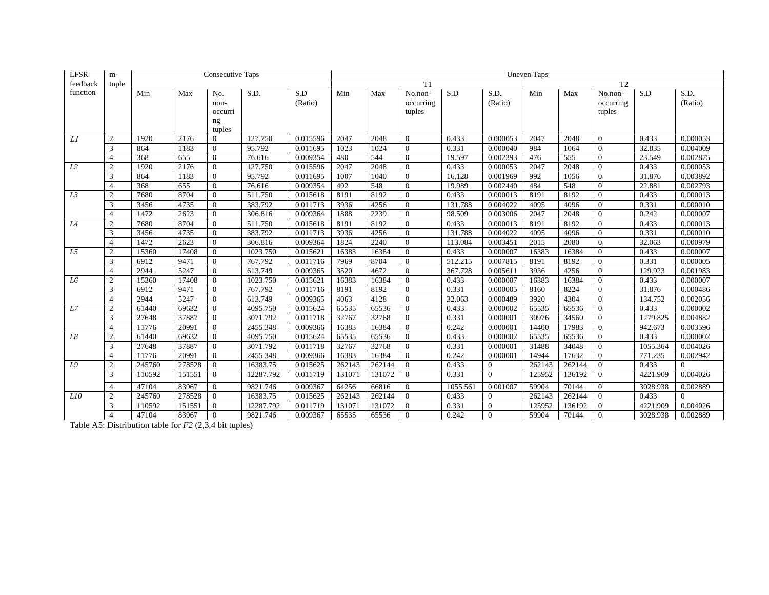| <b>LFSR</b>    | $m-$           |        |        | <b>Consecutive Taps</b> |           |          |        |        |                |          |                | <b>Uneven Taps</b> |        |                |          |          |
|----------------|----------------|--------|--------|-------------------------|-----------|----------|--------|--------|----------------|----------|----------------|--------------------|--------|----------------|----------|----------|
| feedback       | tuple          |        |        |                         |           |          |        |        | T1             |          |                |                    |        | T <sub>2</sub> |          |          |
| function       |                | Min    | Max    | No.                     | S.D.      | S.D      | Min    | Max    | No.non-        | S.D      | S.D.           | Min                | Max    | No.non-        | S.D      | S.D.     |
|                |                |        |        | non-                    |           | (Ratio)  |        |        | occurring      |          | (Ratio)        |                    |        | occurring      |          | (Ratio)  |
|                |                |        |        | occurri                 |           |          |        |        | tuples         |          |                |                    |        | tuples         |          |          |
|                |                |        |        | ng                      |           |          |        |        |                |          |                |                    |        |                |          |          |
|                |                |        |        | tuples                  |           |          |        |        |                |          |                |                    |        |                |          |          |
| L1             | 2              | 1920   | 2176   | $\Omega$                | 127.750   | 0.015596 | 2047   | 2048   | $\Omega$       | 0.433    | 0.000053       | 2047               | 2048   | $\mathbf{0}$   | 0.433    | 0.000053 |
|                | 3              | 864    | 1183   | $\Omega$                | 95.792    | 0.011695 | 1023   | 1024   | $\Omega$       | 0.331    | 0.000040       | 984                | 1064   | $\mathbf{0}$   | 32.835   | 0.004009 |
|                | $\overline{4}$ | 368    | 655    | $\Omega$                | 76.616    | 0.009354 | 480    | 544    | $\Omega$       | 19.597   | 0.002393       | 476                | 555    | $\mathbf{0}$   | 23.549   | 0.002875 |
| L2             | $\overline{2}$ | 1920   | 2176   | $\Omega$                | 127.750   | 0.015596 | 2047   | 2048   | $\Omega$       | 0.433    | 0.000053       | 2047               | 2048   | $\overline{0}$ | 0.433    | 0.000053 |
|                | 3              | 864    | 1183   | $\theta$                | 95.792    | 0.011695 | 1007   | 1040   | $\Omega$       | 16.128   | 0.001969       | 992                | 1056   | $\theta$       | 31.876   | 0.003892 |
|                | $\overline{4}$ | 368    | 655    | $\Omega$                | 76.616    | 0.009354 | 492    | 548    | $\Omega$       | 19.989   | 0.002440       | 484                | 548    | $\overline{0}$ | 22.881   | 0.002793 |
| L3             | $\overline{2}$ | 7680   | 8704   | $\Omega$                | 511.750   | 0.015618 | 8191   | 8192   | $\Omega$       | 0.433    | 0.000013       | 8191               | 8192   | $\mathbf{0}$   | 0.433    | 0.000013 |
|                | 3              | 3456   | 4735   | $\Omega$                | 383.792   | 0.011713 | 3936   | 4256   | $\Omega$       | 131.788  | 0.004022       | 4095               | 4096   | $\mathbf{0}$   | 0.331    | 0.000010 |
|                | $\overline{4}$ | 1472   | 2623   | $\Omega$                | 306.816   | 0.009364 | 1888   | 2239   | $\Omega$       | 98.509   | 0.003006       | 2047               | 2048   | $\overline{0}$ | 0.242    | 0.000007 |
| L4             | $\overline{2}$ | 7680   | 8704   | $\Omega$                | 511.750   | 0.015618 | 8191   | 8192   | $\Omega$       | 0.433    | 0.000013       | 8191               | 8192   | $\Omega$       | 0.433    | 0.000013 |
|                | 3              | 3456   | 4735   | $\Omega$                | 383.792   | 0.011713 | 3936   | 4256   | $\Omega$       | 131.788  | 0.004022       | 4095               | 4096   | $\theta$       | 0.331    | 0.000010 |
|                | $\overline{4}$ | 1472   | 2623   | $\Omega$                | 306.816   | 0.009364 | 1824   | 2240   | $\Omega$       | 113.084  | 0.003451       | $\overline{2015}$  | 2080   | $\overline{0}$ | 32.063   | 0.000979 |
| L5             | $\overline{2}$ | 15360  | 17408  | $\mathbf{0}$            | 1023.750  | 0.015621 | 16383  | 16384  | $\Omega$       | 0.433    | 0.000007       | 16383              | 16384  | $\mathbf{0}$   | 0.433    | 0.000007 |
|                | 3              | 6912   | 9471   | $\mathbf{0}$            | 767.792   | 0.011716 | 7969   | 8704   | $\Omega$       | 512.215  | 0.007815       | 8191               | 8192   | $\mathbf{0}$   | 0.331    | 0.000005 |
|                | $\overline{4}$ | 2944   | 5247   | $\Omega$                | 613.749   | 0.009365 | 3520   | 4672   | $\Omega$       | 367.728  | 0.005611       | 3936               | 4256   | $\mathbf{0}$   | 129.923  | 0.001983 |
| L <sub>6</sub> | $\overline{2}$ | 15360  | 17408  | $\Omega$                | 1023.750  | 0.015621 | 16383  | 16384  | $\Omega$       | 0.433    | 0.000007       | 16383              | 16384  | $\theta$       | 0.433    | 0.000007 |
|                | 3              | 6912   | 9471   | $\Omega$                | 767.792   | 0.011716 | 8191   | 8192   | $\Omega$       | 0.331    | 0.000005       | 8160               | 8224   | $\overline{0}$ | 31.876   | 0.000486 |
|                | $\overline{4}$ | 2944   | 5247   | $\Omega$                | 613.749   | 0.009365 | 4063   | 4128   | $\Omega$       | 32.063   | 0.000489       | 3920               | 4304   | $\overline{0}$ | 134.752  | 0.002056 |
| L7             | $\overline{2}$ | 61440  | 69632  | $\mathbf{0}$            | 4095.750  | 0.015624 | 65535  | 65536  | $\Omega$       | 0.433    | 0.000002       | 65535              | 65536  | $\mathbf{0}$   | 0.433    | 0.000002 |
|                | 3              | 27648  | 37887  | $\Omega$                | 3071.792  | 0.011718 | 32767  | 32768  | $\Omega$       | 0.331    | 0.000001       | 30976              | 34560  | $\overline{0}$ | 1279.825 | 0.004882 |
|                | $\overline{4}$ | 11776  | 20991  | $\Omega$                | 2455.348  | 0.009366 | 16383  | 16384  | $\Omega$       | 0.242    | 0.000001       | 14400              | 17983  | $\mathbf{0}$   | 942.673  | 0.003596 |
| L8             | $\overline{2}$ | 61440  | 69632  | $\Omega$                | 4095.750  | 0.015624 | 65535  | 65536  | $\Omega$       | 0.433    | 0.000002       | 65535              | 65536  | $\mathbf{0}$   | 0.433    | 0.000002 |
|                | 3              | 27648  | 37887  | $\Omega$                | 3071.792  | 0.011718 | 32767  | 32768  | $\Omega$       | 0.331    | 0.000001       | 31488              | 34048  | $\mathbf{0}$   | 1055.364 | 0.004026 |
|                | $\overline{4}$ | 11776  | 20991  | $\mathbf{0}$            | 2455.348  | 0.009366 | 16383  | 16384  | $\Omega$       | 0.242    | 0.000001       | 14944              | 17632  | $\overline{0}$ | 771.235  | 0.002942 |
| L9             | $\overline{2}$ | 245760 | 278528 | $\mathbf{0}$            | 16383.75  | 0.015625 | 262143 | 262144 | $\Omega$       | 0.433    | $\mathbf{0}$   | 262143             | 262144 | $\Omega$       | 0.433    | $\Omega$ |
|                | 3              | 110592 | 151551 | $\overline{0}$          | 12287.792 | 0.011719 | 131071 | 131072 | $\Omega$       | 0.331    | $\theta$       | 125952             | 136192 | $\Omega$       | 4221.909 | 0.004026 |
|                | $\overline{4}$ | 47104  | 83967  | $\Omega$                | 9821.746  | 0.009367 | 64256  | 66816  | $\Omega$       | 1055.561 | 0.001007       | 59904              | 70144  | $\Omega$       | 3028.938 | 0.002889 |
| L10            | $\overline{2}$ | 245760 | 278528 | $\overline{0}$          | 16383.75  | 0.015625 | 262143 | 262144 | $\overline{0}$ | 0.433    | $\mathbf{0}$   | 262143             | 262144 | $\overline{0}$ | 0.433    | $\Omega$ |
|                | 3              | 110592 | 151551 | $\mathbf{0}$            | 12287.792 | 0.011719 | 131071 | 131072 | $\Omega$       | 0.331    | $\overline{0}$ | 125952             | 136192 | $\overline{0}$ | 4221.909 | 0.004026 |
|                | $\overline{4}$ | 47104  | 83967  | $\Omega$                | 9821.746  | 0.009367 | 65535  | 65536  | $\Omega$       | 0.242    | $\Omega$       | 59904              | 70144  | $\Omega$       | 3028.938 | 0.002889 |

Table A5: Distribution table for *F2* (2,3,4 bit tuples)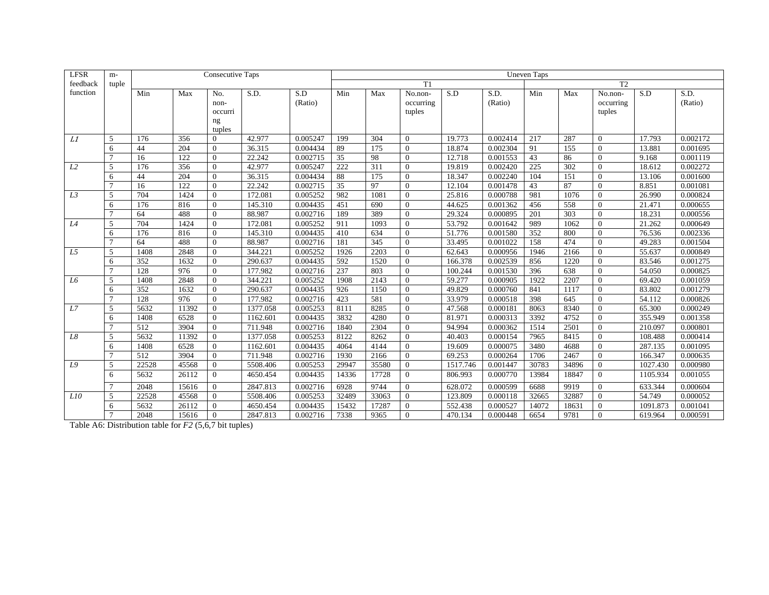| <b>LFSR</b>    | $m-$           |       |                  | <b>Consecutive Taps</b> |          |          |                 |       |           |          |          | <b>Uneven Taps</b> |       |                |          |          |
|----------------|----------------|-------|------------------|-------------------------|----------|----------|-----------------|-------|-----------|----------|----------|--------------------|-------|----------------|----------|----------|
| feedback       | tuple          |       |                  |                         |          |          |                 |       | T1        |          |          |                    |       | T <sub>2</sub> |          |          |
| function       |                | Min   | Max              | No.                     | S.D.     | S.D      | Min             | Max   | No.non-   | S.D      | S.D.     | Min                | Max   | No.non-        | S.D      | S.D.     |
|                |                |       |                  | non-                    |          | (Ratio)  |                 |       | occurring |          | (Ratio)  |                    |       | occurring      |          | (Ratio)  |
|                |                |       |                  | occurri                 |          |          |                 |       | tuples    |          |          |                    |       | tuples         |          |          |
|                |                |       |                  | ng                      |          |          |                 |       |           |          |          |                    |       |                |          |          |
|                |                |       |                  | tuples                  |          |          |                 |       |           |          |          |                    |       |                |          |          |
| L1             | 5              | 176   | 356              | $\Omega$                | 42.977   | 0.005247 | 199             | 304   | $\Omega$  | 19.773   | 0.002414 | 217                | 287   | $\theta$       | 17.793   | 0.002172 |
|                | 6              | 44    | 204              | $\Omega$                | 36.315   | 0.004434 | 89              | 175   | $\Omega$  | 18.874   | 0.002304 | 91                 | 155   | $\overline{0}$ | 13.881   | 0.001695 |
|                |                | 16    | 122              | $\Omega$                | 22.242   | 0.002715 | 35              | 98    | $\Omega$  | 12.718   | 0.001553 | 43                 | 86    | $\overline{0}$ | 9.168    | 0.001119 |
| L2             | 5              | 176   | 356              | $\Omega$                | 42.977   | 0.005247 | 222             | 311   | $\Omega$  | 19.819   | 0.002420 | 225                | 302   | $\overline{0}$ | 18.612   | 0.002272 |
|                | 6              | 44    | 204              | $\Omega$                | 36.315   | 0.004434 | 88              | 175   | $\Omega$  | 18.347   | 0.002240 | 104                | 151   | $\theta$       | 13.106   | 0.001600 |
|                |                | 16    | $\overline{122}$ | $\Omega$                | 22.242   | 0.002715 | $\overline{35}$ | 97    | $\Omega$  | 12.104   | 0.001478 | 43                 | 87    | $\overline{0}$ | 8.851    | 0.001081 |
| L3             | $\overline{5}$ | 704   | 1424             | $\Omega$                | 172.081  | 0.005252 | 982             | 1081  | $\Omega$  | 25.816   | 0.000788 | 981                | 1076  | $\overline{0}$ | 26.990   | 0.000824 |
|                | 6              | 176   | 816              | $\Omega$                | 145.310  | 0.004435 | 451             | 690   | $\Omega$  | 44.625   | 0.001362 | 456                | 558   | $\overline{0}$ | 21.471   | 0.000655 |
|                |                | 64    | 488              | $\Omega$                | 88.987   | 0.002716 | 189             | 389   | $\Omega$  | 29.324   | 0.000895 | 201                | 303   | $\overline{0}$ | 18.231   | 0.000556 |
| L4             | $\overline{5}$ | 704   | 1424             | $\Omega$                | 172.081  | 0.005252 | 911             | 1093  | $\Omega$  | 53.792   | 0.001642 | 989                | 1062  | $\Omega$       | 21.262   | 0.000649 |
|                | 6              | 176   | 816              | $\Omega$                | 145.310  | 0.004435 | 410             | 634   | $\Omega$  | 51.776   | 0.001580 | 352                | 800   | $\theta$       | 76.536   | 0.002336 |
|                |                | 64    | 488              | $\Omega$                | 88.987   | 0.002716 | 181             | 345   | $\Omega$  | 33.495   | 0.001022 | 158                | 474   | $\Omega$       | 49.283   | 0.001504 |
| L5             | 5              | 1408  | 2848             | $\Omega$                | 344.221  | 0.005252 | 1926            | 2203  | $\Omega$  | 62.643   | 0.000956 | 1946               | 2166  | $\mathbf{0}$   | 55.637   | 0.000849 |
|                | 6              | 352   | 1632             | $\Omega$                | 290.637  | 0.004435 | 592             | 1520  | $\Omega$  | 166.378  | 0.002539 | 856                | 1220  | $\mathbf{0}$   | 83.546   | 0.001275 |
|                | $\overline{7}$ | 128   | 976              | $\Omega$                | 177.982  | 0.002716 | 237             | 803   | $\Omega$  | 100.244  | 0.001530 | 396                | 638   | $\Omega$       | 54.050   | 0.000825 |
| L <sub>6</sub> | $\overline{5}$ | 1408  | 2848             | $\Omega$                | 344.221  | 0.005252 | 1908            | 2143  | $\Omega$  | 59.277   | 0.000905 | 1922               | 2207  | $\theta$       | 69.420   | 0.001059 |
|                | 6              | 352   | 1632             | $\Omega$                | 290.637  | 0.004435 | 926             | 1150  | $\Omega$  | 49.829   | 0.000760 | 841                | 1117  | $\overline{0}$ | 83.802   | 0.001279 |
|                | $\overline{7}$ | 128   | 976              | $\Omega$                | 177.982  | 0.002716 | 423             | 581   | $\Omega$  | 33.979   | 0.000518 | 398                | 645   | $\overline{0}$ | 54.112   | 0.000826 |
| L7             | 5              | 5632  | 11392            | $\mathbf{0}$            | 1377.058 | 0.005253 | 8111            | 8285  | $\Omega$  | 47.568   | 0.000181 | 8063               | 8340  | $\mathbf{0}$   | 65.300   | 0.000249 |
|                | 6              | 1408  | 6528             | $\Omega$                | 1162.601 | 0.004435 | 3832            | 4280  | $\Omega$  | 81.971   | 0.000313 | 3392               | 4752  | $\mathbf{0}$   | 355.949  | 0.001358 |
|                |                | 512   | 3904             | $\Omega$                | 711.948  | 0.002716 | 1840            | 2304  | $\Omega$  | 94.994   | 0.000362 | 1514               | 2501  | $\mathbf{0}$   | 210.097  | 0.000801 |
| L8             | 5              | 5632  | 11392            | $\Omega$                | 1377.058 | 0.005253 | 8122            | 8262  | $\Omega$  | 40.403   | 0.000154 | 7965               | 8415  | $\mathbf{0}$   | 108.488  | 0.000414 |
|                | 6              | 1408  | 6528             | $\Omega$                | 1162.601 | 0.004435 | 4064            | 4144  | $\Omega$  | 19.609   | 0.000075 | 3480               | 4688  | $\mathbf{0}$   | 287.135  | 0.001095 |
|                | $\overline{7}$ | 512   | 3904             | $\Omega$                | 711.948  | 0.002716 | 1930            | 2166  | $\Omega$  | 69.253   | 0.000264 | 1706               | 2467  | $\mathbf{0}$   | 166.347  | 0.000635 |
| L9             | $\overline{5}$ | 22528 | 45568            | $\Omega$                | 5508.406 | 0.005253 | 29947           | 35580 | $\Omega$  | 1517.746 | 0.001447 | 30783              | 34896 | $\mathbf{0}$   | 1027.430 | 0.000980 |
|                | 6              | 5632  | 26112            | $\Omega$                | 4650.454 | 0.004435 | 14336           | 17728 | $\Omega$  | 806.993  | 0.000770 | 13984              | 18847 | $\Omega$       | 1105.934 | 0.001055 |
|                | $\mathcal{I}$  | 2048  | 15616            | $\Omega$                | 2847.813 | 0.002716 | 6928            | 9744  | $\Omega$  | 628.072  | 0.000599 | 6688               | 9919  | $\Omega$       | 633.344  | 0.000604 |
| L10            | 5              | 22528 | 45568            | $\mathbf{0}$            | 5508.406 | 0.005253 | 32489           | 33063 | $\Omega$  | 123.809  | 0.000118 | 32665              | 32887 | $\theta$       | 54.749   | 0.000052 |
|                | 6              | 5632  | 26112            | $\mathbf{0}$            | 4650.454 | 0.004435 | 15432           | 17287 | $\Omega$  | 552.438  | 0.000527 | 14072              | 18631 | $\overline{0}$ | 1091.873 | 0.001041 |
|                | $\mathcal{I}$  | 2048  | 15616            | $\Omega$                | 2847.813 | 0.002716 | 7338            | 9365  | $\Omega$  | 470.134  | 0.000448 | 6654               | 9781  | $\Omega$       | 619.964  | 0.000591 |

Table A6: Distribution table for *F2* (5,6,7 bit tuples)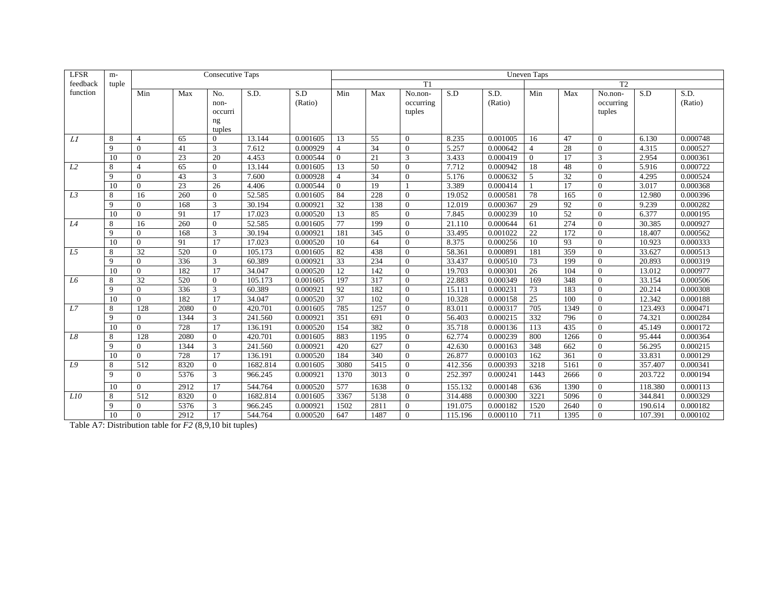| <b>LFSR</b>    | m-    |                |                 | <b>Consecutive Taps</b> |          |          |                 |      |                |         |          | <b>Uneven Taps</b> |                 |                |         |          |
|----------------|-------|----------------|-----------------|-------------------------|----------|----------|-----------------|------|----------------|---------|----------|--------------------|-----------------|----------------|---------|----------|
| feedback       | tuple |                |                 |                         |          |          |                 |      | T1             |         |          |                    |                 | T2             |         |          |
| function       |       | Min            | Max             | No.                     | S.D.     | S.D      | Min             | Max  | No.non-        | S.D     | S.D.     | Min                | Max             | No.non-        | S.D     | S.D.     |
|                |       |                |                 | non-                    |          | (Ratio)  |                 |      | occurring      |         | (Ratio)  |                    |                 | occurring      |         | (Ratio)  |
|                |       |                |                 | occurri                 |          |          |                 |      | tuples         |         |          |                    |                 | tuples         |         |          |
|                |       |                |                 | ng                      |          |          |                 |      |                |         |          |                    |                 |                |         |          |
|                |       |                |                 | tuples                  |          |          |                 |      |                |         |          |                    |                 |                |         |          |
| L1             | 8     | $\overline{4}$ | 65              | $\Omega$                | 13.144   | 0.001605 | 13              | 55   | $\Omega$       | 8.235   | 0.001005 | 16                 | 47              | $\theta$       | 6.130   | 0.000748 |
|                | 9     | $\Omega$       | 41              | 3                       | 7.612    | 0.000929 | $\overline{4}$  | 34   | $\Omega$       | 5.257   | 0.000642 | $\overline{4}$     | 28              | $\Omega$       | 4.315   | 0.000527 |
|                | 10    | $\theta$       | 23              | 20                      | 4.453    | 0.000544 | $\Omega$        | 21   | 3              | 3.433   | 0.000419 | $\theta$           | 17              | 3              | 2.954   | 0.000361 |
| L2             | 8     | $\Delta$       | $\overline{65}$ | $\Omega$                | 13.144   | 0.001605 | 13              | 50   | $\Omega$       | 7.712   | 0.000942 | 18                 | 48              | $\Omega$       | 5.916   | 0.000722 |
|                | 9     | $\Omega$       | 43              | 3                       | 7.600    | 0.000928 | $\overline{4}$  | 34   | $\Omega$       | 5.176   | 0.000632 | 5                  | 32              | $\theta$       | 4.295   | 0.000524 |
|                | 10    | $\Omega$       | $\overline{23}$ | 26                      | 4.406    | 0.000544 | $\Omega$        | 19   |                | 3.389   | 0.000414 |                    | 17              | $\theta$       | 3.017   | 0.000368 |
| L3             | 8     | 16             | 260             | $\Omega$                | 52.585   | 0.001605 | 84              | 228  | $\Omega$       | 19.052  | 0.000581 | 78                 | 165             | $\Omega$       | 12.980  | 0.000396 |
|                | 9     | $\Omega$       | 168             | 3                       | 30.194   | 0.000921 | 32              | 138  | $\Omega$       | 12.019  | 0.000367 | 29                 | 92              | $\Omega$       | 9.239   | 0.000282 |
|                | 10    | $\Omega$       | 91              | 17                      | 17.023   | 0.000520 | 13              | 85   | $\Omega$       | 7.845   | 0.000239 | 10                 | $\overline{52}$ | $\Omega$       | 6.377   | 0.000195 |
| L4             | 8     | 16             | 260             | $\Omega$                | 52.585   | 0.001605 | 77              | 199  | $\Omega$       | 21.110  | 0.000644 | 61                 | 274             | $\Omega$       | 30.385  | 0.000927 |
|                | 9     | $\Omega$       | 168             | 3                       | 30.194   | 0.000921 | 181             | 345  | $\Omega$       | 33.495  | 0.001022 | 22                 | 172             | $\theta$       | 18.407  | 0.000562 |
|                | 10    | $\Omega$       | 91              | 17                      | 17.023   | 0.000520 | 10              | 64   | $\Omega$       | 8.375   | 0.000256 | 10                 | 93              | $\Omega$       | 10.923  | 0.000333 |
| L5             | 8     | 32             | 520             | $\Omega$                | 105.173  | 0.001605 | 82              | 438  | $\mathbf{0}$   | 58.361  | 0.000891 | 181                | 359             | $\overline{0}$ | 33.627  | 0.000513 |
|                | 9     | $\theta$       | 336             | 3                       | 60.389   | 0.000921 | 33              | 234  | $\theta$       | 33.437  | 0.000510 | 73                 | 199             | $\overline{0}$ | 20.893  | 0.000319 |
|                | 10    | $\Omega$       | 182             | 17                      | 34.047   | 0.000520 | 12              | 142  | $\theta$       | 19.703  | 0.000301 | 26                 | 104             | $\theta$       | 13.012  | 0.000977 |
| L <sub>6</sub> | 8     | 32             | 520             | $\Omega$                | 105.173  | 0.001605 | 197             | 317  | $\Omega$       | 22.883  | 0.000349 | 169                | 348             | $\theta$       | 33.154  | 0.000506 |
|                | 9     | $\Omega$       | 336             | 3                       | 60.389   | 0.000921 | 92              | 182  | $\Omega$       | 15.111  | 0.000231 | $\overline{73}$    | 183             | $\theta$       | 20.214  | 0.000308 |
|                | 10    | $\theta$       | 182             | 17                      | 34.047   | 0.000520 | $\overline{37}$ | 102  | $\Omega$       | 10.328  | 0.000158 | $\overline{25}$    | 100             | $\Omega$       | 12.342  | 0.000188 |
| L7             | 8     | 128            | 2080            | $\Omega$                | 420.701  | 0.001605 | 785             | 1257 | $\overline{0}$ | 83.011  | 0.000317 | 705                | 1349            | $\overline{0}$ | 123.493 | 0.000471 |
|                | 9     | $\theta$       | 1344            | 3                       | 241.560  | 0.000921 | 351             | 691  | $\theta$       | 56.403  | 0.000215 | 332                | 796             | $\overline{0}$ | 74.321  | 0.000284 |
|                | 10    | $\theta$       | 728             | 17                      | 136.191  | 0.000520 | 154             | 382  | $\theta$       | 35.718  | 0.000136 | 113                | 435             | $\overline{0}$ | 45.149  | 0.000172 |
| L8             | 8     | 128            | 2080            | $\Omega$                | 420.701  | 0.001605 | 883             | 1195 | $\overline{0}$ | 62.774  | 0.000239 | 800                | 1266            | $\overline{0}$ | 95.444  | 0.000364 |
|                | 9     | $\theta$       | 1344            | 3                       | 241.560  | 0.000921 | 420             | 627  | $\theta$       | 42.630  | 0.000163 | 348                | 662             | $\overline{0}$ | 56.295  | 0.000215 |
|                | 10    | $\theta$       | 728             | 17                      | 136.191  | 0.000520 | 184             | 340  | $\mathbf{0}$   | 26.877  | 0.000103 | 162                | 361             | $\overline{0}$ | 33.831  | 0.000129 |
| L9             | 8     | 512            | 8320            | $\Omega$                | 1682.814 | 0.001605 | 3080            | 5415 | $\theta$       | 412.356 | 0.000393 | 3218               | 5161            | $\mathbf{0}$   | 357.407 | 0.000341 |
|                | 9     | $\Omega$       | 5376            | 3                       | 966.245  | 0.000921 | 1370            | 3013 | $\Omega$       | 252.397 | 0.000241 | 1443               | 2666            | $\Omega$       | 203.722 | 0.000194 |
|                | 10    | $\theta$       | 2912            | 17                      | 544.764  | 0.000520 | 577             | 1638 | $\Omega$       | 155.132 | 0.000148 | 636                | 1390            | $\theta$       | 118.380 | 0.000113 |
| L10            | 8     | 512            | 8320            | $\Omega$                | 1682.814 | 0.001605 | 3367            | 5138 | $\Omega$       | 314.488 | 0.000300 | 3221               | 5096            | $\theta$       | 344.841 | 0.000329 |
|                | 9     | $\mathbf{0}$   | 5376            | 3                       | 966.245  | 0.00092  | 1502            | 2811 | $\Omega$       | 191.075 | 0.000182 | 1520               | 2640            | $\overline{0}$ | 190.614 | 0.000182 |
|                | 10    | $\theta$       | 2912            | 17                      | 544.764  | 0.000520 | 647             | 1487 | $\Omega$       | 115.196 | 0.000110 | 711                | 1395            | $\Omega$       | 107.391 | 0.000102 |

Table A7: Distribution table for *F2* (8,9,10 bit tuples)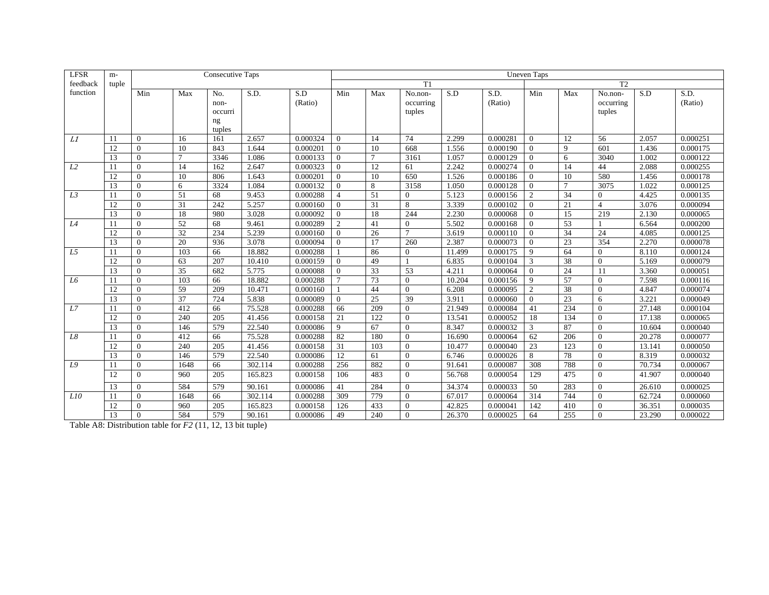| <b>LFSR</b>    | m-    |              |                 | <b>Consecutive Taps</b> |         |          |                |        |                |        |          | <b>Uneven Taps</b> |                 |                |        |          |
|----------------|-------|--------------|-----------------|-------------------------|---------|----------|----------------|--------|----------------|--------|----------|--------------------|-----------------|----------------|--------|----------|
| feedback       | tuple |              |                 |                         |         |          |                |        | T1             |        |          |                    |                 | T2             |        |          |
| function       |       | Min          | Max             | No.                     | S.D.    | S.D      | Min            | Max    | No.non-        | S.D    | S.D.     | Min                | Max             | No.non-        | S.D    | S.D.     |
|                |       |              |                 | non-                    |         | (Ratio)  |                |        | occurring      |        | (Ratio)  |                    |                 | occurring      |        | (Ratio)  |
|                |       |              |                 | occurri                 |         |          |                |        | tuples         |        |          |                    |                 | tuples         |        |          |
|                |       |              |                 | ng                      |         |          |                |        |                |        |          |                    |                 |                |        |          |
|                |       |              |                 | tuples                  |         |          |                |        |                |        |          |                    |                 |                |        |          |
| L1             | 11    | $\theta$     | 16              | 161                     | 2.657   | 0.000324 | $\Omega$       | 14     | 74             | 2.299  | 0.000281 | $\Omega$           | 12              | 56             | 2.057  | 0.000251 |
|                | 12    | $\theta$     | 10              | 843                     | 1.644   | 0.000201 | $\Omega$       | 10     | 668            | 1.556  | 0.000190 | $\theta$           | 9               | 601            | 1.436  | 0.000175 |
|                | 13    | $\theta$     | $\tau$          | 3346                    | 1.086   | 0.000133 | $\Omega$       | $\tau$ | 3161           | 1.057  | 0.000129 | $\theta$           | 6               | 3040           | 1.002  | 0.000122 |
| L2             | 11    | $\theta$     | 14              | 162                     | 2.647   | 0.000323 | $\Omega$       | 12     | 61             | 2.242  | 0.000274 | $\theta$           | 14              | 44             | 2.088  | 0.000255 |
|                | 12    | $\Omega$     | 10              | 806                     | 1.643   | 0.000201 | $\Omega$       | 10     | 650            | 1.526  | 0.000186 | $\Omega$           | 10              | 580            | 1.456  | 0.000178 |
|                | 13    | $\Omega$     | 6               | 3324                    | 1.084   | 0.000132 | $\Omega$       | 8      | 3158           | 1.050  | 0.000128 | $\Omega$           | $\overline{7}$  | 3075           | 1.022  | 0.000125 |
| L <sub>3</sub> | 11    | $\Omega$     | 51              | 68                      | 9.453   | 0.000288 | $\overline{4}$ | 51     | $\Omega$       | 5.123  | 0.000156 | $\overline{c}$     | 34              | $\Omega$       | 4.425  | 0.000135 |
|                | 12    | $\Omega$     | $\overline{31}$ | 242                     | 5.257   | 0.000160 | $\Omega$       | 31     | 8              | 3.339  | 0.000102 | $\Omega$           | 21              | $\overline{4}$ | 3.076  | 0.000094 |
|                | 13    | $\theta$     | 18              | 980                     | 3.028   | 0.000092 | $\Omega$       | 18     | 244            | 2.230  | 0.000068 | $\Omega$           | 15              | 219            | 2.130  | 0.000065 |
| L4             | 11    | $\theta$     | 52              | 68                      | 9.461   | 0.000289 | $\overline{2}$ | 41     | $\overline{0}$ | 5.502  | 0.000168 | $\theta$           | 53              |                | 6.564  | 0.000200 |
|                | 12    | $\Omega$     | 32              | 234                     | 5.239   | 0.000160 | $\Omega$       | 26     | $\overline{7}$ | 3.619  | 0.000110 | $\theta$           | 34              | 24             | 4.085  | 0.000125 |
|                | 13    | $\Omega$     | 20              | 936                     | 3.078   | 0.000094 | $\Omega$       | 17     | 260            | 2.387  | 0.000073 | $\Omega$           | 23              | 354            | 2.270  | 0.000078 |
| L <sub>5</sub> | 11    | $\Omega$     | 103             | 66                      | 18.882  | 0.000288 |                | 86     | $\Omega$       | 11.499 | 0.000175 | $\mathbf Q$        | 64              | $\theta$       | 8.110  | 0.000124 |
|                | 12    | $\theta$     | 63              | 207                     | 10.410  | 0.000159 | $\Omega$       | 49     |                | 6.835  | 0.000104 | 3                  | 38              | $\mathbf{0}$   | 5.169  | 0.000079 |
|                | 13    | $\mathbf{0}$ | 35              | 682                     | 5.775   | 0.000088 | $\Omega$       | 33     | 53             | 4.211  | 0.000064 | $\theta$           | 24              | <sup>11</sup>  | 3.360  | 0.000051 |
| L6             | 11    | $\theta$     | 103             | 66                      | 18.882  | 0.000288 | $\overline{7}$ | 73     | $\Omega$       | 10.204 | 0.000156 | 9                  | $\overline{57}$ | $\theta$       | 7.598  | 0.000116 |
|                | 12    | $\Omega$     | 59              | 209                     | 10.471  | 0.000160 |                | 44     | $\Omega$       | 6.208  | 0.000095 | $\overline{2}$     | 38              | $\overline{0}$ | 4.847  | 0.000074 |
|                | 13    | $\Omega$     | 37              | 724                     | 5.838   | 0.000089 | $\Omega$       | 25     | 39             | 3.911  | 0.000060 | $\Omega$           | 23              | 6              | 3.221  | 0.000049 |
| L7             | 11    | $\Omega$     | 412             | 66                      | 75.528  | 0.000288 | 66             | 209    | $\Omega$       | 21.949 | 0.000084 | 41                 | 234             | $\Omega$       | 27.148 | 0.000104 |
|                | 12    | $\theta$     | 240             | 205                     | 41.456  | 0.000158 | 21             | 122    | $\overline{0}$ | 13.541 | 0.000052 | 18                 | 134             | $\mathbf{0}$   | 17.138 | 0.000065 |
|                | 13    | $\theta$     | 146             | 579                     | 22.540  | 0.000086 | 9              | 67     | $\overline{0}$ | 8.347  | 0.000032 | 3                  | 87              | $\mathbf{0}$   | 10.604 | 0.000040 |
| L8             | 11    | $\mathbf{0}$ | 412             | 66                      | 75.528  | 0.000288 | 82             | 180    | $\theta$       | 16.690 | 0.000064 | 62                 | 206             | $\mathbf{0}$   | 20.278 | 0.000077 |
|                | 12    | $\Omega$     | 240             | 205                     | 41.456  | 0.000158 | 31             | 103    | $\theta$       | 10.477 | 0.000040 | 23                 | 123             | $\Omega$       | 13.141 | 0.000050 |
|                | 13    | $\mathbf{0}$ | 146             | 579                     | 22.540  | 0.000086 | 12             | 61     | $\overline{0}$ | 6.746  | 0.000026 | 8                  | 78              | $\overline{0}$ | 8.319  | 0.000032 |
| L9             | 11    | $\mathbf{0}$ | 1648            | 66                      | 302.114 | 0.000288 | 256            | 882    | $\overline{0}$ | 91.641 | 0.000087 | 308                | 788             | $\overline{0}$ | 70.734 | 0.000067 |
|                | 12    | $\theta$     | 960             | 205                     | 165.823 | 0.000158 | 106            | 483    | $\Omega$       | 56.768 | 0.000054 | 129                | 475             | $\theta$       | 41.907 | 0.000040 |
|                | 13    | $\theta$     | 584             | 579                     | 90.161  | 0.000086 | 41             | 284    | $\Omega$       | 34.374 | 0.000033 | 50                 | 283             | $\theta$       | 26.610 | 0.000025 |
| L10            | 11    | $\theta$     | 1648            | 66                      | 302.114 | 0.000288 | 309            | 779    | $\Omega$       | 67.017 | 0.000064 | 314                | 744             | $\theta$       | 62.724 | 0.000060 |
|                | 12    | $\theta$     | 960             | 205                     | 165.823 | 0.000158 | 126            | 433    | $\Omega$       | 42.825 | 0.000041 | 142                | 410             | $\overline{0}$ | 36.351 | 0.000035 |
|                | 13    | $\theta$     | 584             | 579                     | 90.161  | 0.000086 | 49             | 240    | $\Omega$       | 26.370 | 0.000025 | 64                 | 255             | $\Omega$       | 23.290 | 0.000022 |

Table A8: Distribution table for *F2* (11, 12, 13 bit tuple)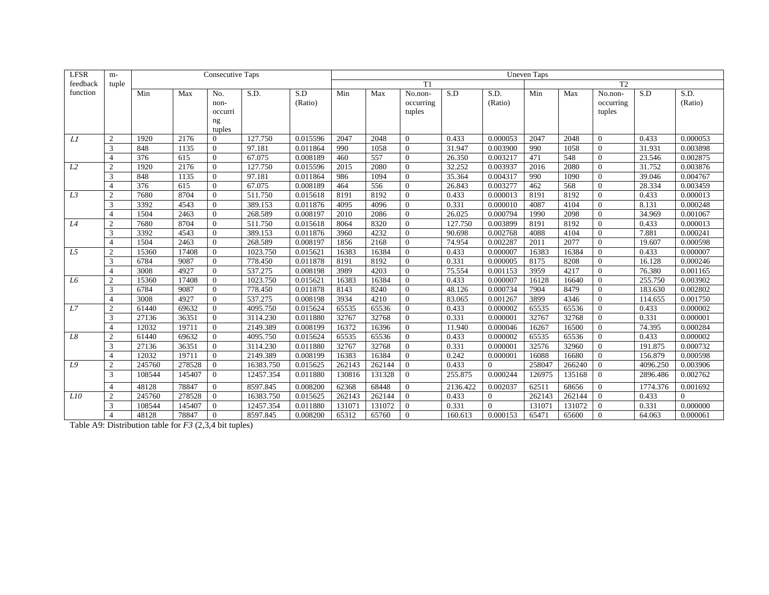| <b>LFSR</b> | $m-$           |        |        | <b>Consecutive Taps</b> |           |          | <b>Uneven Taps</b>   |        |                |          |                |        |        |                  |          |          |  |  |
|-------------|----------------|--------|--------|-------------------------|-----------|----------|----------------------|--------|----------------|----------|----------------|--------|--------|------------------|----------|----------|--|--|
| feedback    | tuple          |        |        |                         |           |          | T <sub>2</sub><br>T1 |        |                |          |                |        |        |                  |          |          |  |  |
| function    |                | Min    | Max    | No.                     | S.D.      | S.D      | Min                  | Max    | No.non-        | S.D      | S.D.           | Min    | Max    | No.non-          | S.D      | S.D.     |  |  |
|             |                |        |        | non-                    |           | (Ratio)  |                      |        | occurring      |          | (Ratio)        |        |        | occurring        |          | (Ratio)  |  |  |
|             |                |        |        | occurri                 |           |          |                      |        | tuples         |          |                |        |        | tuples           |          |          |  |  |
|             |                |        |        | ng                      |           |          |                      |        |                |          |                |        |        |                  |          |          |  |  |
|             |                |        |        | tuples                  |           |          |                      |        |                |          |                |        |        |                  |          |          |  |  |
| L1          | 2              | 1920   | 2176   | $\Omega$                | 127.750   | 0.015596 | 2047                 | 2048   | $\Omega$       | 0.433    | 0.000053       | 2047   | 2048   | $\theta$         | 0.433    | 0.000053 |  |  |
|             | 3              | 848    | 1135   | $\Omega$                | 97.181    | 0.011864 | 990                  | 1058   | $\Omega$       | 31.947   | 0.003900       | 990    | 1058   | $\mathbf{0}$     | 31.931   | 0.003898 |  |  |
|             | $\overline{4}$ | 376    | 615    | $\Omega$                | 67.075    | 0.008189 | 460                  | 557    | $\Omega$       | 26.350   | 0.003217       | 471    | 548    | $\mathbf{0}$     | 23.546   | 0.002875 |  |  |
| L2          | $\overline{2}$ | 1920   | 2176   | $\Omega$                | 127.750   | 0.015596 | 2015                 | 2080   | $\Omega$       | 32.252   | 0.003937       | 2016   | 2080   | $\theta$         | 31.752   | 0.003876 |  |  |
|             | 3              | 848    | 1135   | $\Omega$                | 97.181    | 0.011864 | 986                  | 1094   | $\Omega$       | 35.364   | 0.004317       | 990    | 1090   | $\mathbf{0}$     | 39.046   | 0.004767 |  |  |
|             | $\overline{4}$ | 376    | 615    | $\Omega$                | 67.075    | 0.008189 | 464                  | 556    | $\Omega$       | 26.843   | 0.003277       | 462    | 568    | $\boldsymbol{0}$ | 28.334   | 0.003459 |  |  |
| L3          | $\overline{2}$ | 7680   | 8704   | $\Omega$                | 511.750   | 0.015618 | 8191                 | 8192   | $\Omega$       | 0.433    | 0.000013       | 8191   | 8192   | $\overline{0}$   | 0.433    | 0.000013 |  |  |
|             | 3              | 3392   | 4543   | $\Omega$                | 389.153   | 0.011876 | 4095                 | 4096   | $\Omega$       | 0.331    | 0.000010       | 4087   | 4104   | $\Omega$         | 8.131    | 0.000248 |  |  |
|             | $\overline{4}$ | 1504   | 2463   | $\Omega$                | 268.589   | 0.008197 | 2010                 | 2086   | $\Omega$       | 26.025   | 0.000794       | 1990   | 2098   | $\theta$         | 34.969   | 0.001067 |  |  |
| L4          | $\overline{2}$ | 7680   | 8704   | $\Omega$                | 511.750   | 0.015618 | 8064                 | 8320   | $\Omega$       | 127.750  | 0.003899       | 8191   | 8192   | $\overline{0}$   | 0.433    | 0.000013 |  |  |
|             | 3              | 3392   | 4543   | $\mathbf{0}$            | 389.153   | 0.011876 | 3960                 | 4232   | $\Omega$       | 90.698   | 0.002768       | 4088   | 4104   | $\mathbf{0}$     | 7.881    | 0.000241 |  |  |
|             | $\overline{4}$ | 1504   | 2463   | $\Omega$                | 268.589   | 0.008197 | 1856                 | 2168   | $\Omega$       | 74.954   | 0.002287       | 2011   | 2077   | $\mathbf{0}$     | 19.607   | 0.000598 |  |  |
| L5          | $\overline{2}$ | 15360  | 17408  | $\Omega$                | 1023.750  | 0.015621 | 16383                | 16384  | $\Omega$       | 0.433    | 0.000007       | 16383  | 16384  | $\mathbf{0}$     | 0.433    | 0.000007 |  |  |
|             | 3              | 6784   | 9087   | $\Omega$                | 778.450   | 0.011878 | 8191                 | 8192   | $\Omega$       | 0.331    | 0.000005       | 8175   | 8208   | $\boldsymbol{0}$ | 16.128   | 0.000246 |  |  |
|             | $\overline{4}$ | 3008   | 4927   | $\mathbf{0}$            | 537.275   | 0.008198 | 3989                 | 4203   | $\mathbf{0}$   | 75.554   | 0.001153       | 3959   | 4217   | $\mathbf{0}$     | 76.380   | 0.001165 |  |  |
| L6          | $\overline{2}$ | 15360  | 17408  | $\mathbf{0}$            | 1023.750  | 0.015621 | 16383                | 16384  | $\overline{0}$ | 0.433    | 0.000007       | 16128  | 16640  | $\overline{0}$   | 255.750  | 0.003902 |  |  |
|             | 3              | 6784   | 9087   | $\Omega$                | 778.450   | 0.011878 | 8143                 | 8240   | $\Omega$       | 48.126   | 0.000734       | 7904   | 8479   | $\mathbf{0}$     | 183.630  | 0.002802 |  |  |
|             | $\overline{4}$ | 3008   | 4927   | $\Omega$                | 537.275   | 0.008198 | 3934                 | 4210   | $\Omega$       | 83.065   | 0.001267       | 3899   | 4346   | $\mathbf{0}$     | 114.655  | 0.001750 |  |  |
| L7          | $\overline{2}$ | 61440  | 69632  | $\mathbf{0}$            | 4095.750  | 0.015624 | 65535                | 65536  | $\overline{0}$ | 0.433    | 0.000002       | 65535  | 65536  | $\boldsymbol{0}$ | 0.433    | 0.000002 |  |  |
|             | 3              | 27136  | 36351  | $\mathbf{0}$            | 3114.230  | 0.011880 | 32767                | 32768  | $\overline{0}$ | 0.331    | 0.000001       | 32767  | 32768  | $\mathbf{0}$     | 0.331    | 0.000001 |  |  |
|             | $\overline{4}$ | 12032  | 19711  | $\Omega$                | 2149.389  | 0.008199 | 16372                | 16396  | $\Omega$       | 11.940   | 0.000046       | 16267  | 16500  | $\mathbf{0}$     | 74.395   | 0.000284 |  |  |
| L8          | $\overline{2}$ | 61440  | 69632  | $\mathbf{0}$            | 4095.750  | 0.015624 | 65535                | 65536  | $\overline{0}$ | 0.433    | 0.000002       | 65535  | 65536  | $\boldsymbol{0}$ | 0.433    | 0.000002 |  |  |
|             | 3              | 27136  | 36351  | $\mathbf{0}$            | 3114.230  | 0.011880 | 32767                | 32768  | $\overline{0}$ | 0.331    | 0.000001       | 32576  | 32960  | $\mathbf{0}$     | 191.875  | 0.000732 |  |  |
|             | $\overline{4}$ | 12032  | 19711  | $\mathbf{0}$            | 2149.389  | 0.008199 | 16383                | 16384  | $\overline{0}$ | 0.242    | 0.000001       | 16088  | 16680  | $\mathbf{0}$     | 156.879  | 0.000598 |  |  |
| L9          | $\overline{2}$ | 245760 | 278528 | $\mathbf{0}$            | 16383.750 | 0.015625 | 262143               | 262144 | $\Omega$       | 0.433    | $\overline{0}$ | 258047 | 266240 | $\overline{0}$   | 4096.250 | 0.003906 |  |  |
|             | 3              | 108544 | 145407 | $\overline{0}$          | 12457.354 | 0.011880 | 130816               | 131328 | $\Omega$       | 255.875  | 0.000244       | 126975 | 135168 | $\theta$         | 2896.486 | 0.002762 |  |  |
|             | $\overline{4}$ | 48128  | 78847  | $\Omega$                | 8597.845  | 0.008200 | 62368                | 68448  | $\Omega$       | 2136.422 | 0.002037       | 62511  | 68656  | $\Omega$         | 1774.376 | 0.001692 |  |  |
| L10         | 2              | 245760 | 278528 | $\overline{0}$          | 16383.750 | 0.015625 | 262143               | 262144 | $\overline{0}$ | 0.433    | $\mathbf{0}$   | 262143 | 262144 | $\overline{0}$   | 0.433    | $\Omega$ |  |  |
|             | 3              | 108544 | 145407 | $\mathbf{0}$            | 12457.354 | 0.011880 | 131071               | 131072 | $\Omega$       | 0.331    | $\theta$       | 131071 | 131072 | $\Omega$         | 0.331    | 0.000000 |  |  |
|             | $\overline{4}$ | 48128  | 78847  | $\Omega$                | 8597.845  | 0.008200 | 65312                | 65760  | $\Omega$       | 160.613  | 0.000153       | 65471  | 65600  | $\Omega$         | 64.063   | 0.000061 |  |  |

Table A9: Distribution table for *F3* (2,3,4 bit tuples)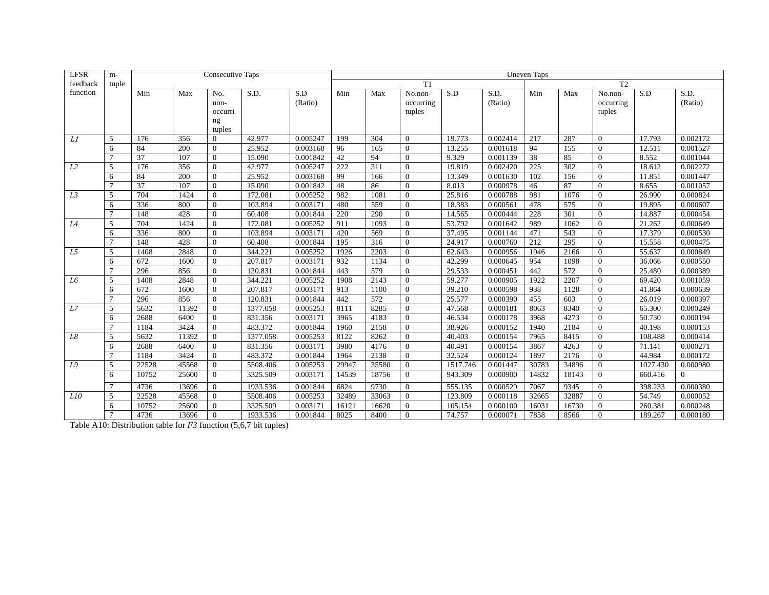| <b>LFSR</b> | $m-$           |       |       | <b>Consecutive Taps</b> |          |          | <b>Uneven Taps</b>   |       |                |          |          |       |       |                  |          |          |  |
|-------------|----------------|-------|-------|-------------------------|----------|----------|----------------------|-------|----------------|----------|----------|-------|-------|------------------|----------|----------|--|
| feedback    | tuple          |       |       |                         |          |          | T <sub>2</sub><br>T1 |       |                |          |          |       |       |                  |          |          |  |
| function    |                | Min   | Max   | No.                     | S.D.     | S.D      | Min                  | Max   | No.non-        | S.D      | S.D.     | Min   | Max   | No.non-          | S.D      | S.D.     |  |
|             |                |       |       | non-                    |          | (Ratio)  |                      |       | occurring      |          | (Ratio)  |       |       | occurring        |          | (Ratio)  |  |
|             |                |       |       | occurri                 |          |          |                      |       | tuples         |          |          |       |       | tuples           |          |          |  |
|             |                |       |       | ng                      |          |          |                      |       |                |          |          |       |       |                  |          |          |  |
|             |                |       |       | tuples                  |          |          |                      |       |                |          |          |       |       |                  |          |          |  |
| L1          | 5              | 176   | 356   | $\Omega$                | 42.977   | 0.005247 | 199                  | 304   | $\Omega$       | 19.773   | 0.002414 | 217   | 287   | $\theta$         | 17.793   | 0.002172 |  |
|             | 6              | 84    | 200   | $\Omega$                | 25.952   | 0.003168 | 96                   | 165   | $\Omega$       | 13.255   | 0.001618 | 94    | 155   | $\overline{0}$   | 12.511   | 0.001527 |  |
|             |                | 37    | 107   | $\Omega$                | 15.090   | 0.001842 | 42                   | 94    | $\Omega$       | 9.329    | 0.001139 | 38    | 85    | $\overline{0}$   | 8.552    | 0.001044 |  |
| L2          | $\overline{5}$ | 176   | 356   | $\Omega$                | 42.977   | 0.005247 | 222                  | 311   | $\Omega$       | 19.819   | 0.002420 | 225   | 302   | $\theta$         | 18.612   | 0.002272 |  |
|             | 6              | 84    | 200   | $\Omega$                | 25.952   | 0.003168 | 99                   | 166   | $\Omega$       | 13.349   | 0.001630 | 102   | 156   | $\overline{0}$   | 11.851   | 0.001447 |  |
|             |                | 37    | 107   | $\Omega$                | 15.090   | 0.001842 | 48                   | 86    | $\Omega$       | 8.013    | 0.000978 | 46    | 87    | $\theta$         | 8.655    | 0.001057 |  |
| L3          | 5              | 704   | 1424  | $\Omega$                | 172.081  | 0.005252 | 982                  | 1081  | $\Omega$       | 25.816   | 0.000788 | 981   | 1076  | $\overline{0}$   | 26.990   | 0.000824 |  |
|             | 6              | 336   | 800   | $\Omega$                | 103.894  | 0.003171 | 480                  | 559   | $\Omega$       | 18.383   | 0.000561 | 478   | 575   | $\Omega$         | 19.895   | 0.000607 |  |
|             |                | 148   | 428   | $\Omega$                | 60.408   | 0.001844 | 220                  | 290   | $\Omega$       | 14.565   | 0.000444 | 228   | 301   | $\theta$         | 14.887   | 0.000454 |  |
| L4          | 5              | 704   | 1424  | $\Omega$                | 172.081  | 0.005252 | 911                  | 1093  | $\Omega$       | 53.792   | 0.001642 | 989   | 1062  | $\overline{0}$   | 21.262   | 0.000649 |  |
|             | 6              | 336   | 800   | $\mathbf{0}$            | 103.894  | 0.003171 | 420                  | 569   | $\Omega$       | 37.495   | 0.001144 | 471   | 543   | $\theta$         | 17.379   | 0.000530 |  |
|             |                | 148   | 428   | $\Omega$                | 60.408   | 0.001844 | 195                  | 316   | $\Omega$       | 24.917   | 0.000760 | 212   | 295   | $\mathbf{0}$     | 15.558   | 0.000475 |  |
| L5          | 5              | 1408  | 2848  | $\Omega$                | 344.221  | 0.005252 | 1926                 | 2203  | $\Omega$       | 62.643   | 0.000956 | 1946  | 2166  | $\mathbf{0}$     | 55.637   | 0.000849 |  |
|             | 6              | 672   | 1600  | $\Omega$                | 207.817  | 0.003171 | 932                  | 1134  | $\Omega$       | 42.299   | 0.000645 | 954   | 1098  | $\boldsymbol{0}$ | 36.066   | 0.000550 |  |
|             | $\overline{7}$ | 296   | 856   | $\mathbf{0}$            | 120.831  | 0.001844 | 443                  | 579   | $\Omega$       | 29.533   | 0.000451 | 442   | 572   | $\mathbf{0}$     | 25.480   | 0.000389 |  |
| L6          | 5              | 1408  | 2848  | $\mathbf{0}$            | 344.221  | 0.005252 | 1908                 | 2143  | $\theta$       | 59.277   | 0.000905 | 1922  | 2207  | $\mathbf{0}$     | 69.420   | 0.001059 |  |
|             | 6              | 672   | 1600  | $\Omega$                | 207.817  | 0.003171 | 913                  | 1100  | $\Omega$       | 39.210   | 0.000598 | 938   | 1128  | $\mathbf{0}$     | 41.864   | 0.000639 |  |
|             |                | 296   | 856   | $\Omega$                | 120.831  | 0.001844 | 442                  | 572   | $\Omega$       | 25.577   | 0.000390 | 455   | 603   | $\mathbf{0}$     | 26.019   | 0.000397 |  |
| L7          | 5              | 5632  | 11392 | $\mathbf{0}$            | 1377.058 | 0.005253 | 8111                 | 8285  | $\Omega$       | 47.568   | 0.000181 | 8063  | 8340  | $\boldsymbol{0}$ | 65.300   | 0.000249 |  |
|             | 6              | 2688  | 6400  | $\mathbf{0}$            | 831.356  | 0.003171 | 3965                 | 4183  | $\overline{0}$ | 46.534   | 0.000178 | 3968  | 4273  | $\mathbf{0}$     | 50.730   | 0.000194 |  |
|             |                | 1184  | 3424  | $\Omega$                | 483.372  | 0.001844 | 1960                 | 2158  | $\Omega$       | 38.926   | 0.000152 | 1940  | 2184  | $\mathbf{0}$     | 40.198   | 0.000153 |  |
| L8          | 5              | 5632  | 11392 | $\mathbf{0}$            | 1377.058 | 0.005253 | 8122                 | 8262  | $\overline{0}$ | 40.403   | 0.000154 | 7965  | 8415  | $\boldsymbol{0}$ | 108.488  | 0.000414 |  |
|             | 6              | 2688  | 6400  | $\mathbf{0}$            | 831.356  | 0.003171 | 3980                 | 4176  | $\overline{0}$ | 40.491   | 0.000154 | 3867  | 4263  | $\mathbf{0}$     | 71.141   | 0.000271 |  |
|             |                | 1184  | 3424  | $\mathbf{0}$            | 483.372  | 0.001844 | 1964                 | 2138  | $\overline{0}$ | 32.524   | 0.000124 | 1897  | 2176  | $\mathbf{0}$     | 44.984   | 0.000172 |  |
| L9          | $\overline{5}$ | 22528 | 45568 | $\Omega$                | 5508.406 | 0.005253 | 29947                | 35580 | $\Omega$       | 1517.746 | 0.001447 | 30783 | 34896 | $\mathbf{0}$     | 1027.430 | 0.000980 |  |
|             | 6              | 10752 | 25600 | $\Omega$                | 3325.509 | 0.003171 | 14539                | 18756 | $\Omega$       | 943.309  | 0.000900 | 14832 | 18143 | $\mathbf{0}$     | 660.416  | 0        |  |
|             | $\overline{7}$ | 4736  | 13696 | $\Omega$                | 1933.536 | 0.001844 | 6824                 | 9730  | $\Omega$       | 555.135  | 0.000529 | 7067  | 9345  | $\overline{0}$   | 398.233  | 0.000380 |  |
| L10         | 5              | 22528 | 45568 | $\mathbf{0}$            | 5508.406 | 0.005253 | 32489                | 33063 | $\Omega$       | 123.809  | 0.000118 | 32665 | 32887 | $\theta$         | 54.749   | 0.000052 |  |
|             | 6              | 10752 | 25600 | $\Omega$                | 3325.509 | 0.003171 | 16121                | 16620 | $\Omega$       | 105.154  | 0.000100 | 16031 | 16730 | $\Omega$         | 260.381  | 0.000248 |  |
|             | $\mathcal{I}$  | 4736  | 13696 | $\Omega$                | 1933.536 | 0.001844 | 8025                 | 8400  | $\Omega$       | 74.757   | 0.000071 | 7858  | 8566  | $\Omega$         | 189.267  | 0.000180 |  |

Table A10: Distribution table for *F3* function (5,6,7 bit tuples)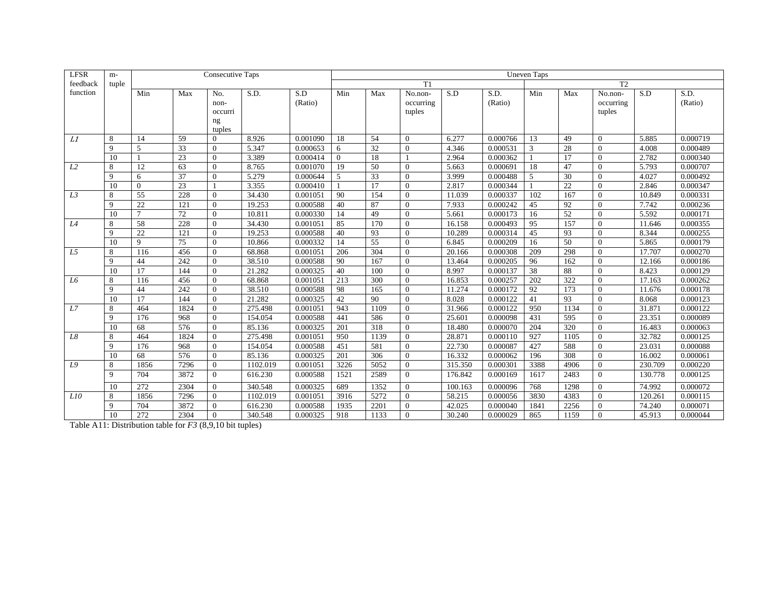| <b>LFSR</b> | $m-$         |                 |                 | <b>Consecutive Taps</b> |          |          | <b>Uneven Taps</b>   |      |                |         |          |                |                 |                  |         |          |  |  |
|-------------|--------------|-----------------|-----------------|-------------------------|----------|----------|----------------------|------|----------------|---------|----------|----------------|-----------------|------------------|---------|----------|--|--|
| feedback    | tuple        |                 |                 |                         |          |          | T <sub>2</sub><br>T1 |      |                |         |          |                |                 |                  |         |          |  |  |
| function    |              | Min             | Max             | No.                     | S.D.     | S.D      | Min                  | Max  | No.non-        | S.D     | S.D.     | Min            | Max             | No.non-          | S.D     | S.D.     |  |  |
|             |              |                 |                 | non-                    |          | (Ratio)  |                      |      | occurring      |         | (Ratio)  |                |                 | occurring        |         | (Ratio)  |  |  |
|             |              |                 |                 | occurri                 |          |          |                      |      | tuples         |         |          |                |                 | tuples           |         |          |  |  |
|             |              |                 |                 | ng                      |          |          |                      |      |                |         |          |                |                 |                  |         |          |  |  |
|             |              |                 |                 | tuples                  |          |          |                      |      |                |         |          |                |                 |                  |         |          |  |  |
| L1          | 8            | 14              | 59              | $\Omega$                | 8.926    | 0.001090 | 18                   | 54   | $\Omega$       | 6.277   | 0.000766 | 13             | 49              | $\theta$         | 5.885   | 0.000719 |  |  |
|             | $\mathbf{Q}$ | 5               | $\overline{33}$ | $\Omega$                | 5.347    | 0.000653 | 6                    | 32   | $\Omega$       | 4.346   | 0.000531 | 3              | 28              | $\overline{0}$   | 4.008   | 0.000489 |  |  |
|             | 10           |                 | 23              | $\Omega$                | 3.389    | 0.000414 | $\Omega$             | 18   |                | 2.964   | 0.000362 |                | 17              | $\overline{0}$   | 2.782   | 0.000340 |  |  |
| L2          | 8            | 12              | 63              | $\Omega$                | 8.765    | 0.001070 | 19                   | 50   | $\Omega$       | 5.663   | 0.000691 | 18             | 47              | $\theta$         | 5.793   | 0.000707 |  |  |
|             | $\mathbf{Q}$ | 6               | $\overline{37}$ | $\Omega$                | 5.279    | 0.000644 | 5                    | 33   | $\Omega$       | 3.999   | 0.000488 | $\overline{5}$ | 30              | $\Omega$         | 4.027   | 0.000492 |  |  |
|             | 10           | $\theta$        | 23              |                         | 3.355    | 0.000410 |                      | 17   | $\Omega$       | 2.817   | 0.000344 |                | 22              | $\theta$         | 2.846   | 0.000347 |  |  |
| L3          | 8            | $\overline{55}$ | 228             | $\Omega$                | 34.430   | 0.001051 | 90                   | 154  | $\Omega$       | 11.039  | 0.000337 | 102            | 167             | $\overline{0}$   | 10.849  | 0.000331 |  |  |
|             | $\mathbf{Q}$ | 22              | 121             | $\Omega$                | 19.253   | 0.000588 | 40                   | 87   | $\Omega$       | 7.933   | 0.000242 | 45             | 92              | $\Omega$         | 7.742   | 0.000236 |  |  |
|             | 10           | $\overline{7}$  | 72              | $\Omega$                | 10.811   | 0.000330 | 14                   | 49   | $\Omega$       | 5.661   | 0.000173 | 16             | $\overline{52}$ | $\theta$         | 5.592   | 0.000171 |  |  |
| L4          | 8            | 58              | 228             | $\Omega$                | 34.430   | 0.001051 | 85                   | 170  | $\Omega$       | 16.158  | 0.000493 | 95             | 157             | $\overline{0}$   | 11.646  | 0.000355 |  |  |
|             | 9            | 22              | 121             | $\mathbf{0}$            | 19.253   | 0.000588 | 40                   | 93   | $\Omega$       | 10.289  | 0.000314 | 45             | 93              | $\theta$         | 8.344   | 0.000255 |  |  |
|             | 10           | 9               | 75              | $\Omega$                | 10.866   | 0.000332 | 14                   | 55   | $\Omega$       | 6.845   | 0.000209 | 16             | 50              | $\mathbf{0}$     | 5.865   | 0.000179 |  |  |
| L5          | 8            | 116             | 456             | $\Omega$                | 68.868   | 0.001051 | 206                  | 304  | $\Omega$       | 20.166  | 0.000308 | 209            | 298             | $\mathbf{0}$     | 17.707  | 0.000270 |  |  |
|             | 9            | 44              | 242             | $\Omega$                | 38.510   | 0.000588 | 90                   | 167  | $\Omega$       | 13.464  | 0.000205 | 96             | 162             | $\theta$         | 12.166  | 0.000186 |  |  |
|             | 10           | 17              | 144             | $\Omega$                | 21.282   | 0.000325 | 40                   | 100  | $\Omega$       | 8.997   | 0.000137 | 38             | 88              | $\mathbf{0}$     | 8.423   | 0.000129 |  |  |
| L6          | 8            | 116             | 456             | $\mathbf{0}$            | 68.868   | 0.001051 | 213                  | 300  | $\overline{0}$ | 16.853  | 0.000257 | 202            | 322             | $\mathbf{0}$     | 17.163  | 0.000262 |  |  |
|             | 9            | 44              | 242             | $\Omega$                | 38.510   | 0.000588 | 98                   | 165  | $\Omega$       | 11.274  | 0.000172 | 92             | 173             | $\mathbf{0}$     | 11.676  | 0.000178 |  |  |
|             | 10           | 17              | 144             | $\Omega$                | 21.282   | 0.000325 | 42                   | 90   | $\Omega$       | 8.028   | 0.000122 | 41             | 93              | $\mathbf{0}$     | 8.068   | 0.000123 |  |  |
| L7          | 8            | 464             | 1824            | $\Omega$                | 275.498  | 0.001051 | 943                  | 1109 | $\Omega$       | 31.966  | 0.000122 | 950            | 1134            | $\mathbf{0}$     | 31.871  | 0.000122 |  |  |
|             | 9            | 176             | 968             | $\mathbf{0}$            | 154.054  | 0.000588 | 441                  | 586  | $\overline{0}$ | 25.601  | 0.000098 | 431            | 595             | $\mathbf{0}$     | 23.351  | 0.000089 |  |  |
|             | 10           | 68              | 576             | $\Omega$                | 85.136   | 0.000325 | 201                  | 318  | $\Omega$       | 18.480  | 0.000070 | 204            | 320             | $\mathbf{0}$     | 16.483  | 0.000063 |  |  |
| L8          | 8            | 464             | 1824            | $\Omega$                | 275.498  | 0.001051 | 950                  | 1139 | $\overline{0}$ | 28.871  | 0.000110 | 927            | 1105            | $\boldsymbol{0}$ | 32.782  | 0.000125 |  |  |
|             | 9            | 176             | 968             | $\mathbf{0}$            | 154.054  | 0.000588 | 451                  | 581  | $\overline{0}$ | 22.730  | 0.000087 | 427            | 588             | $\mathbf{0}$     | 23.031  | 0.000088 |  |  |
|             | 10           | 68              | 576             | $\mathbf{0}$            | 85.136   | 0.000325 | 201                  | 306  | $\overline{0}$ | 16.332  | 0.000062 | 196            | 308             | $\mathbf{0}$     | 16.002  | 0.000061 |  |  |
| L9          | 8            | 1856            | 7296            | $\Omega$                | 1102.019 | 0.001051 | 3226                 | 5052 | $\Omega$       | 315.350 | 0.000301 | 3388           | 4906            | $\mathbf{0}$     | 230.709 | 0.000220 |  |  |
|             | 9            | 704             | 3872            | $\Omega$                | 616.230  | 0.000588 | 1521                 | 2589 | $\Omega$       | 176.842 | 0.000169 | 1617           | 2483            | $\mathbf{0}$     | 130.778 | 0.000125 |  |  |
|             | 10           | 272             | 2304            | $\Omega$                | 340.548  | 0.000325 | 689                  | 1352 | $\Omega$       | 100.163 | 0.000096 | 768            | 1298            | $\overline{0}$   | 74.992  | 0.000072 |  |  |
| L10         | 8            | 1856            | 7296            | $\mathbf{0}$            | 1102.019 | 0.001051 | 3916                 | 5272 | $\Omega$       | 58.215  | 0.000056 | 3830           | 4383            | $\theta$         | 120.261 | 0.000115 |  |  |
|             | 9            | 704             | 3872            | $\Omega$                | 616.230  | 0.000588 | 1935                 | 2201 | $\Omega$       | 42.025  | 0.000040 | 1841           | 2256            | $\mathbf{0}$     | 74.240  | 0.000071 |  |  |
|             | 10           | 272             | 2304            | $\Omega$                | 340.548  | 0.000325 | 918                  | 1133 | $\Omega$       | 30.240  | 0.000029 | 865            | 1159            | $\Omega$         | 45.913  | 0.000044 |  |  |

Table A11: Distribution table for *F3* (8,9,10 bit tuples)